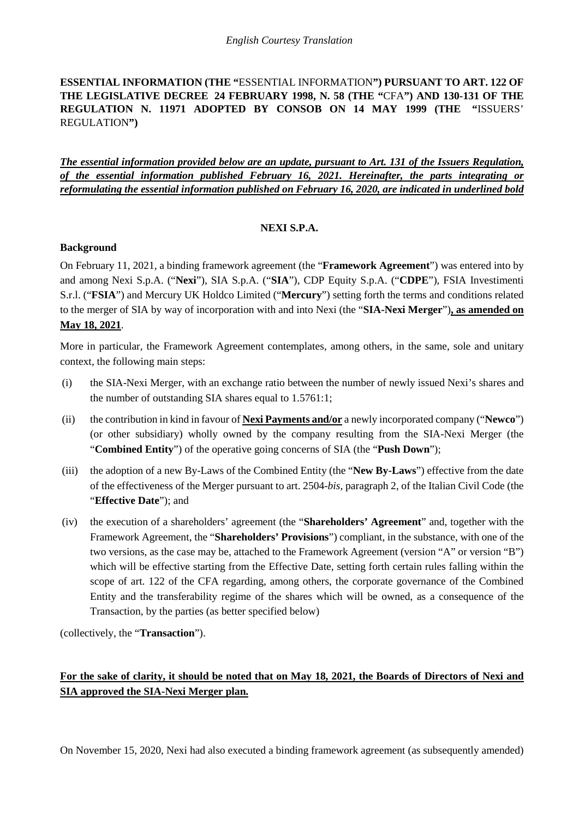**ESSENTIAL INFORMATION (THE "**ESSENTIAL INFORMATION**") PURSUANT TO ART. 122 OF THE LEGISLATIVE DECREE 24 FEBRUARY 1998, N. 58 (THE "**CFA**") AND 130-131 OF THE REGULATION N. 11971 ADOPTED BY CONSOB ON 14 MAY 1999 (THE "**ISSUERS' REGULATION**")**

*The essential information provided below are an update, pursuant to Art. 131 of the Issuers Regulation, of the essential information published February 16, 2021. Hereinafter, the parts integrating or reformulating the essential information published on February 16, 2020, are indicated in underlined bold*

### **NEXI S.P.A.**

### **Background**

On February 11, 2021, a binding framework agreement (the "**Framework Agreement**") was entered into by and among Nexi S.p.A. ("**Nexi**"), SIA S.p.A. ("**SIA**"), CDP Equity S.p.A. ("**CDPE**"), FSIA Investimenti S.r.l. ("**FSIA**") and Mercury UK Holdco Limited ("**Mercury**") setting forth the terms and conditions related to the merger of SIA by way of incorporation with and into Nexi (the "**SIA-Nexi Merger**")**, as amended on May 18, 2021**.

More in particular, the Framework Agreement contemplates, among others, in the same, sole and unitary context, the following main steps:

- (i) the SIA-Nexi Merger, with an exchange ratio between the number of newly issued Nexi's shares and the number of outstanding SIA shares equal to 1.5761:1;
- (ii) the contribution in kind in favour of **Nexi Payments and/or** a newly incorporated company ("**Newco**") (or other subsidiary) wholly owned by the company resulting from the SIA-Nexi Merger (the "**Combined Entity**") of the operative going concerns of SIA (the "**Push Down**");
- (iii) the adoption of a new By-Laws of the Combined Entity (the "**New By-Laws**") effective from the date of the effectiveness of the Merger pursuant to art. 2504-*bis*, paragraph 2, of the Italian Civil Code (the "**Effective Date**"); and
- (iv) the execution of a shareholders' agreement (the "**Shareholders' Agreement**" and, together with the Framework Agreement, the "**Shareholders' Provisions**") compliant, in the substance, with one of the two versions, as the case may be, attached to the Framework Agreement (version "A" or version "B") which will be effective starting from the Effective Date, setting forth certain rules falling within the scope of art. 122 of the CFA regarding, among others, the corporate governance of the Combined Entity and the transferability regime of the shares which will be owned, as a consequence of the Transaction, by the parties (as better specified below)

(collectively, the "**Transaction**").

# **For the sake of clarity, it should be noted that on May 18, 2021, the Boards of Directors of Nexi and SIA approved the SIA-Nexi Merger plan.**

On November 15, 2020, Nexi had also executed a binding framework agreement (as subsequently amended)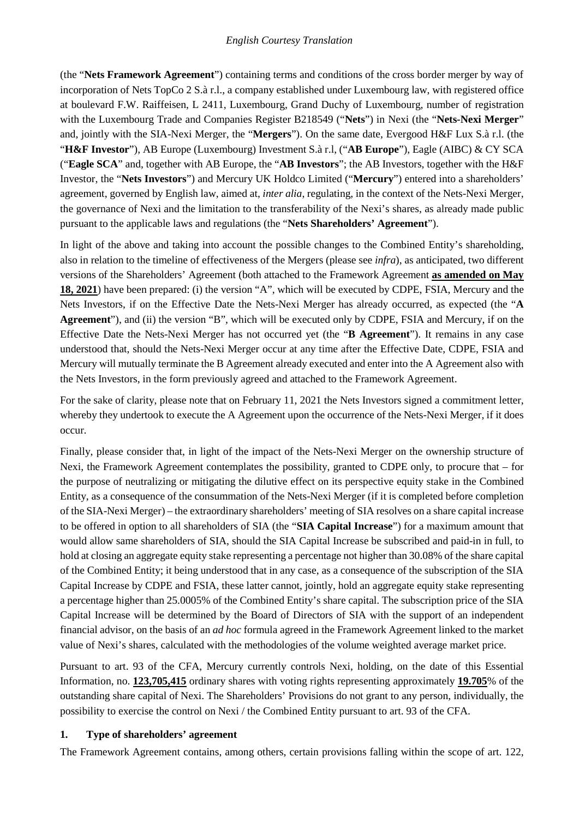(the "**Nets Framework Agreement**") containing terms and conditions of the cross border merger by way of incorporation of Nets TopCo 2 S.à r.l., a company established under Luxembourg law, with registered office at boulevard F.W. Raiffeisen, L 2411, Luxembourg, Grand Duchy of Luxembourg, number of registration with the Luxembourg Trade and Companies Register B218549 ("Nets") in Nexi (the "Nets-Nexi Merger" and, jointly with the SIA-Nexi Merger, the "**Mergers**"). On the same date, Evergood H&F Lux S.à r.l. (the "**H&F Investor**"), AB Europe (Luxembourg) Investment S.à r.l, ("**AB Europe**"), Eagle (AIBC) & CY SCA ("**Eagle SCA**" and, together with AB Europe, the "**AB Investors**"; the AB Investors, together with the H&F Investor, the "**Nets Investors**") and Mercury UK Holdco Limited ("**Mercury**") entered into a shareholders' agreement, governed by English law, aimed at, *inter alia*, regulating, in the context of the Nets-Nexi Merger, the governance of Nexi and the limitation to the transferability of the Nexi's shares, as already made public pursuant to the applicable laws and regulations (the "**Nets Shareholders' Agreement**").

In light of the above and taking into account the possible changes to the Combined Entity's shareholding, also in relation to the timeline of effectiveness of the Mergers (please see *infra*), as anticipated, two different versions of the Shareholders' Agreement (both attached to the Framework Agreement **as amended on May 18, 2021**) have been prepared: (i) the version "A", which will be executed by CDPE, FSIA, Mercury and the Nets Investors, if on the Effective Date the Nets-Nexi Merger has already occurred, as expected (the "**A Agreement**"), and (ii) the version "B", which will be executed only by CDPE, FSIA and Mercury, if on the Effective Date the Nets-Nexi Merger has not occurred yet (the "**B Agreement**"). It remains in any case understood that, should the Nets-Nexi Merger occur at any time after the Effective Date, CDPE, FSIA and Mercury will mutually terminate the B Agreement already executed and enter into the A Agreement also with the Nets Investors, in the form previously agreed and attached to the Framework Agreement.

For the sake of clarity, please note that on February 11, 2021 the Nets Investors signed a commitment letter, whereby they undertook to execute the A Agreement upon the occurrence of the Nets-Nexi Merger, if it does occur.

Finally, please consider that, in light of the impact of the Nets-Nexi Merger on the ownership structure of Nexi, the Framework Agreement contemplates the possibility, granted to CDPE only, to procure that – for the purpose of neutralizing or mitigating the dilutive effect on its perspective equity stake in the Combined Entity, as a consequence of the consummation of the Nets-Nexi Merger (if it is completed before completion of the SIA-Nexi Merger) – the extraordinary shareholders' meeting of SIA resolves on a share capital increase to be offered in option to all shareholders of SIA (the "**SIA Capital Increase**") for a maximum amount that would allow same shareholders of SIA, should the SIA Capital Increase be subscribed and paid-in in full, to hold at closing an aggregate equity stake representing a percentage not higher than 30.08% of the share capital of the Combined Entity; it being understood that in any case, as a consequence of the subscription of the SIA Capital Increase by CDPE and FSIA, these latter cannot, jointly, hold an aggregate equity stake representing a percentage higher than 25.0005% of the Combined Entity's share capital. The subscription price of the SIA Capital Increase will be determined by the Board of Directors of SIA with the support of an independent financial advisor, on the basis of an *ad hoc* formula agreed in the Framework Agreement linked to the market value of Nexi's shares, calculated with the methodologies of the volume weighted average market price.

Pursuant to art. 93 of the CFA, Mercury currently controls Nexi, holding, on the date of this Essential Information, no. **123,705,415** ordinary shares with voting rights representing approximately **19.705**% of the outstanding share capital of Nexi. The Shareholders' Provisions do not grant to any person, individually, the possibility to exercise the control on Nexi / the Combined Entity pursuant to art. 93 of the CFA.

### **1. Type of shareholders' agreement**

The Framework Agreement contains, among others, certain provisions falling within the scope of art. 122,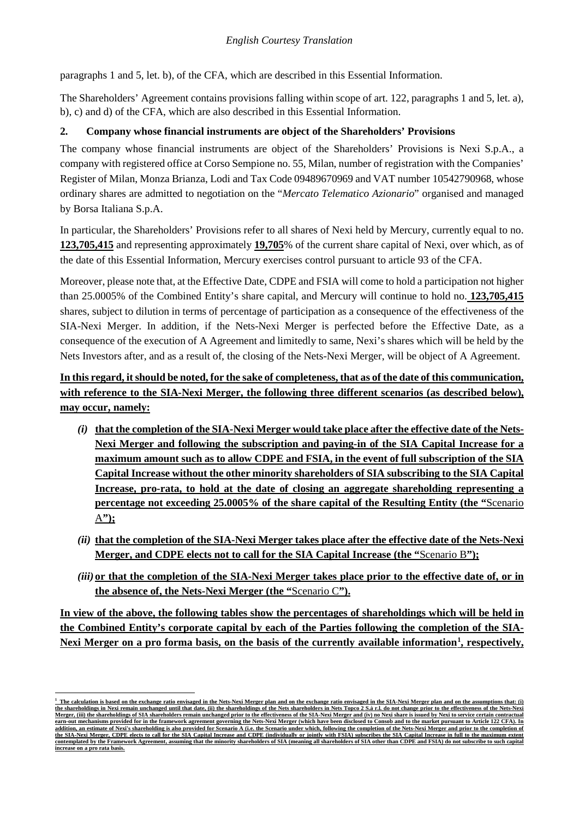paragraphs 1 and 5, let. b), of the CFA, which are described in this Essential Information.

The Shareholders' Agreement contains provisions falling within scope of art. 122, paragraphs 1 and 5, let. a), b), c) and d) of the CFA, which are also described in this Essential Information.

## **2. Company whose financial instruments are object of the Shareholders' Provisions**

The company whose financial instruments are object of the Shareholders' Provisions is Nexi S.p.A., a company with registered office at Corso Sempione no. 55, Milan, number of registration with the Companies' Register of Milan, Monza Brianza, Lodi and Tax Code 09489670969 and VAT number 10542790968, whose ordinary shares are admitted to negotiation on the "*Mercato Telematico Azionario*" organised and managed by Borsa Italiana S.p.A.

In particular, the Shareholders' Provisions refer to all shares of Nexi held by Mercury, currently equal to no. **123,705,415** and representing approximately **19,705**% of the current share capital of Nexi, over which, as of the date of this Essential Information, Mercury exercises control pursuant to article 93 of the CFA.

Moreover, please note that, at the Effective Date, CDPE and FSIA will come to hold a participation not higher than 25.0005% of the Combined Entity's share capital, and Mercury will continue to hold no. **123,705,415**  shares, subject to dilution in terms of percentage of participation as a consequence of the effectiveness of the SIA-Nexi Merger. In addition, if the Nets-Nexi Merger is perfected before the Effective Date, as a consequence of the execution of A Agreement and limitedly to same, Nexi's shares which will be held by the Nets Investors after, and as a result of, the closing of the Nets-Nexi Merger, will be object of A Agreement.

# **In this regard, it should be noted, for the sake of completeness, that as of the date of this communication, with reference to the SIA-Nexi Merger, the following three different scenarios (as described below), may occur, namely:**

- *(i)* **that the completion of the SIA-Nexi Merger would take place after the effective date of the Nets-Nexi Merger and following the subscription and paying-in of the SIA Capital Increase for a maximum amount such as to allow CDPE and FSIA, in the event of full subscription of the SIA Capital Increase without the other minority shareholders of SIA subscribing to the SIA Capital**  Increase, pro-rata, to hold at the date of closing an aggregate shareholding representing a **percentage not exceeding 25.0005% of the share capital of the Resulting Entity (the "**Scenario A**");**
- *(ii)* **that the completion of the SIA-Nexi Merger takes place after the effective date of the Nets-Nexi Merger, and CDPE elects not to call for the SIA Capital Increase (the "**Scenario B**");**
- *(iii)* or that the completion of the SIA-Nexi Merger takes place prior to the effective date of, or in **the absence of, the Nets-Nexi Merger (the "**Scenario C**").**

**In view of the above, the following tables show the percentages of shareholdings which will be held in the Combined Entity's corporate capital by each of the Parties following the completion of the SIA-**Nexi Merger on a pro forma basis, on the basis of the currently available information<sup>[1](#page-2-0)</sup>, respectively,

<span id="page-2-0"></span>**<sup>1</sup> The calculation is based on the exchange ratio envisaged in the Nets-Nexi Merger plan and on the exchange ratio envisaged in the SIA-Nexi Merger plan and on the assumptions that: (i)**  <u>the shareholdings in Nexi remain unchanged until that date, (ii) the shareholdings of the Nets shareholders in Nets Topco 2 S.à r.l. do not change prior to the effectiveness of the Nets-Nexi Merger, (iii) the shareholding</u> **earn-out mechanisms provided for in the framework agreement governing the Nets-Nexi Merger (which have been disclosed to Consob and to the market pursuant to Article 122 CFA). In**  addition, an estimate of Nexi's shareholding is also provided for Scenario A (i.e. the Scenario under which, following the completion of the Nets-Nexi Merger and prior to the completion of <u>the SIA-Nexi Merger, CDPE elects to call for the SIA Capital Increase and CDPE (individually or jointly with FSIA) subscribes the SIA Capital Increase in full to the maximum extent<br>contemplated by the Framework Agreement,</u> **increase on a pro rata basis.**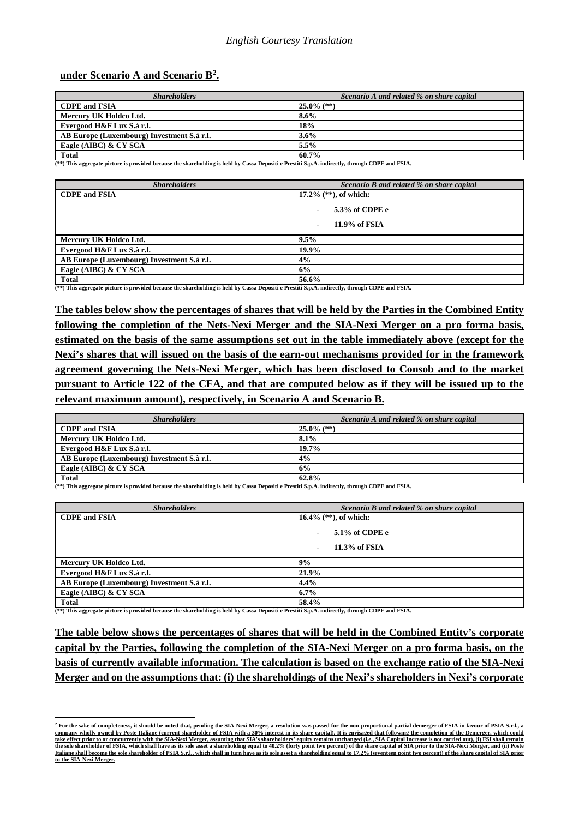#### **under Scenario A and Scenario B[2](#page-3-0) .**

| <b>Shareholders</b>                        | Scenario A and related % on share capital |
|--------------------------------------------|-------------------------------------------|
| <b>CDPE and FSIA</b>                       | $25.0\%$ (**)                             |
| Mercury UK Holdco Ltd.                     | $8.6\%$                                   |
| Evergood H&F Lux S.à r.l.                  | 18%                                       |
| AB Europe (Luxembourg) Investment S.à r.l. | 3.6%                                      |
| Eagle (AIBC) & CY SCA                      | 5.5%                                      |
| <b>Total</b>                               | 60.7%                                     |

**Total 60.7% (\*\*) This aggregate picture is provided because the shareholding is held by Cassa Depositi e Prestiti S.p.A. indirectly, through CDPE and FSIA.**

| <b>Shareholders</b>                        | Scenario B and related % on share capital |
|--------------------------------------------|-------------------------------------------|
| <b>CDPE</b> and FSIA                       | 17.2% $(**)$ , of which:                  |
|                                            | 5.3% of CDPE e                            |
|                                            | $11.9\%$ of FSIA                          |
| Mercury UK Holdco Ltd.                     | 9.5%                                      |
| Evergood H&F Lux S.à r.l.                  | 19.9%                                     |
| AB Europe (Luxembourg) Investment S.à r.l. | 4%                                        |
| Eagle (AIBC) & CY SCA                      | 6%                                        |
| Total                                      | 56.6%                                     |

**Total 56.6% (\*\*) This aggregate picture is provided because the shareholding is held by Cassa Depositi e Prestiti S.p.A. indirectly, through CDPE and FSIA.**

**The tables below show the percentages of shares that will be held by the Parties in the Combined Entity following the completion of the Nets-Nexi Merger and the SIA-Nexi Merger on a pro forma basis, estimated on the basis of the same assumptions set out in the table immediately above (except for the Nexi's shares that will issued on the basis of the earn-out mechanisms provided for in the framework agreement governing the Nets-Nexi Merger, which has been disclosed to Consob and to the market pursuant to Article 122 of the CFA, and that are computed below as if they will be issued up to the relevant maximum amount), respectively, in Scenario A and Scenario B.**

| <b>Shareholders</b>                        | Scenario A and related % on share capital |
|--------------------------------------------|-------------------------------------------|
| <b>CDPE</b> and FSIA                       | $25.0\%$ (**)                             |
| Mercury UK Holdco Ltd.                     | 8.1%                                      |
| Evergood H&F Lux S.à r.l.                  | 19.7%                                     |
| AB Europe (Luxembourg) Investment S.à r.l. | 4%                                        |
| Eagle (AIBC) & CY SCA                      | 6%                                        |
| <b>Total</b>                               | 62.8%                                     |

**(\*\*) This aggregate picture is provided because the shareholding is held by Cassa Depositi e Prestiti S.p.A. indirectly, through CDPE and FSIA.**

| <b>Shareholders</b>                        | Scenario B and related % on share capital |
|--------------------------------------------|-------------------------------------------|
| <b>CDPE</b> and FSIA                       | 16.4% $(**)$ , of which:                  |
|                                            | $5.1\%$ of CDPE e                         |
|                                            | $11.3\%$ of FSIA                          |
| Mercury UK Holdco Ltd.                     | 9%                                        |
| Evergood H&F Lux S.à r.l.                  | 21.9%                                     |
| AB Europe (Luxembourg) Investment S.à r.l. | 4.4%                                      |
| Eagle (AIBC) & CY SCA                      | $6.7\%$                                   |
| Total                                      | 58.4%                                     |

**Total 58.4% (\*\*) This aggregate picture is provided because the shareholding is held by Cassa Depositi e Prestiti S.p.A. indirectly, through CDPE and FSIA.**

**The table below shows the percentages of shares that will be held in the Combined Entity's corporate capital by the Parties, following the completion of the SIA-Nexi Merger on a pro forma basis, on the basis of currently available information. The calculation is based on the exchange ratio of the SIA-Nexi Merger and on the assumptions that: (i) the shareholdings of the Nexi's shareholders in Nexi's corporate** 

<span id="page-3-0"></span>**<sup>2</sup> For the sake of completeness, it should be noted that, pending the SIA-Nexi Merger, a resolution was passed for the non-proportional partial demerger of FSIA in favour of PSIA S.r.l., a**  <u>company wholly owned by Poste Italiane (current shareholder of FSIA with a 30% interest in its share capital). It is envisaged that following the completion of the Demerger, which could<br>take effect prior to or concurrentl</u> <u>the sole shareholder of FSIA, which shall have as its sole asset a shareholding equal to 40.2% (forty point two percent) of the share capital of SIA prior to the SIA-Nexi Merger, and (ii) Poste<br>Italiane shall become the s</u> **to the SIA-Nexi Merger.**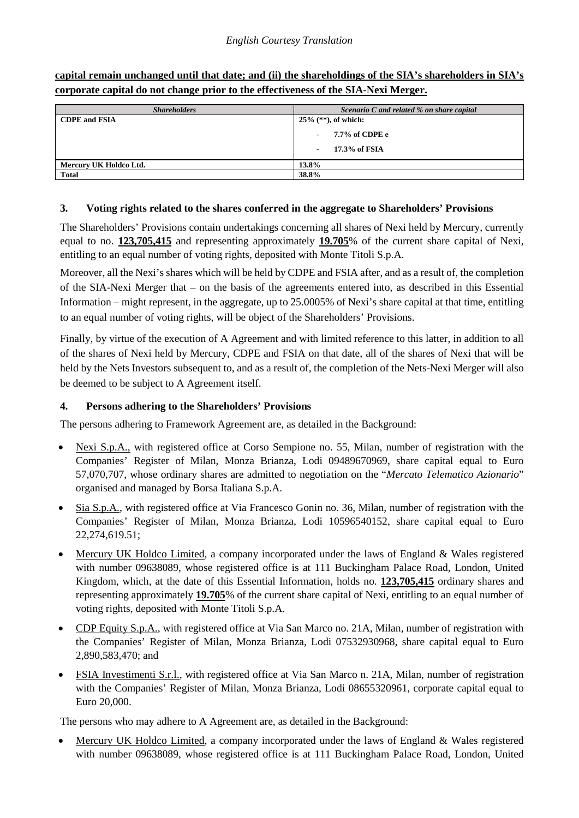| corporate capital do not change prior to the effectiveness of the SIA-Nexi Merger. |                                           |  |
|------------------------------------------------------------------------------------|-------------------------------------------|--|
| <b>Shareholders</b>                                                                | Scenario C and related % on share capital |  |
| <b>CDPE and FSIA</b>                                                               | $25\%$ (**), of which:                    |  |
|                                                                                    | 7.7% of CDPE e                            |  |
|                                                                                    | 17.3% of FSIA                             |  |

**capital remain unchanged until that date; and (ii) the shareholdings of the SIA's shareholders in SIA's** 

#### **3. Voting rights related to the shares conferred in the aggregate to Shareholders' Provisions**

The Shareholders' Provisions contain undertakings concerning all shares of Nexi held by Mercury, currently equal to no. **123,705,415** and representing approximately **19.705**% of the current share capital of Nexi, entitling to an equal number of voting rights, deposited with Monte Titoli S.p.A.

Moreover, all the Nexi's shares which will be held by CDPE and FSIA after, and as a result of, the completion of the SIA-Nexi Merger that – on the basis of the agreements entered into, as described in this Essential Information – might represent, in the aggregate, up to 25.0005% of Nexi's share capital at that time, entitling to an equal number of voting rights, will be object of the Shareholders' Provisions.

Finally, by virtue of the execution of A Agreement and with limited reference to this latter, in addition to all of the shares of Nexi held by Mercury, CDPE and FSIA on that date, all of the shares of Nexi that will be held by the Nets Investors subsequent to, and as a result of, the completion of the Nets-Nexi Merger will also be deemed to be subject to A Agreement itself.

#### **4. Persons adhering to the Shareholders' Provisions**

**Mercury UK Holdco Ltd. 13.8% Total 38.8%**

The persons adhering to Framework Agreement are, as detailed in the Background:

- Nexi S.p.A., with registered office at Corso Sempione no. 55, Milan, number of registration with the Companies' Register of Milan, Monza Brianza, Lodi 09489670969, share capital equal to Euro 57,070,707, whose ordinary shares are admitted to negotiation on the "*Mercato Telematico Azionario*" organised and managed by Borsa Italiana S.p.A.
- Sia S.p.A., with registered office at Via Francesco Gonin no. 36, Milan, number of registration with the Companies' Register of Milan, Monza Brianza, Lodi 10596540152, share capital equal to Euro 22,274,619.51;
- Mercury UK Holdco Limited, a company incorporated under the laws of England & Wales registered with number 09638089, whose registered office is at 111 Buckingham Palace Road, London, United Kingdom, which, at the date of this Essential Information, holds no. **123,705,415** ordinary shares and representing approximately **19.705**% of the current share capital of Nexi, entitling to an equal number of voting rights, deposited with Monte Titoli S.p.A.
- CDP Equity S.p.A., with registered office at Via San Marco no. 21A, Milan, number of registration with the Companies' Register of Milan, Monza Brianza, Lodi 07532930968, share capital equal to Euro 2,890,583,470; and
- FSIA Investimenti S.r.l., with registered office at Via San Marco n. 21A, Milan, number of registration with the Companies' Register of Milan, Monza Brianza, Lodi 08655320961, corporate capital equal to Euro 20,000.

The persons who may adhere to A Agreement are, as detailed in the Background:

• Mercury UK Holdco Limited, a company incorporated under the laws of England & Wales registered with number 09638089, whose registered office is at 111 Buckingham Palace Road, London, United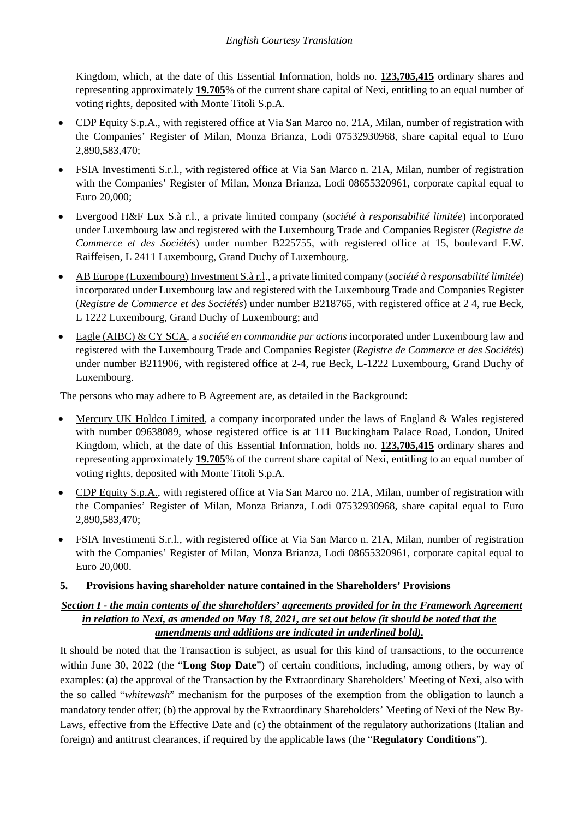Kingdom, which, at the date of this Essential Information, holds no. **123,705,415** ordinary shares and representing approximately **19.705**% of the current share capital of Nexi, entitling to an equal number of voting rights, deposited with Monte Titoli S.p.A.

- CDP Equity S.p.A., with registered office at Via San Marco no. 21A, Milan, number of registration with the Companies' Register of Milan, Monza Brianza, Lodi 07532930968, share capital equal to Euro 2,890,583,470;
- FSIA Investimenti S.r.l., with registered office at Via San Marco n. 21A, Milan, number of registration with the Companies' Register of Milan, Monza Brianza, Lodi 08655320961, corporate capital equal to Euro 20,000;
- Evergood H&F Lux S.à r.l., a private limited company (*société à responsabilité limitée*) incorporated under Luxembourg law and registered with the Luxembourg Trade and Companies Register (*Registre de Commerce et des Sociétés*) under number B225755, with registered office at 15, boulevard F.W. Raiffeisen, L 2411 Luxembourg, Grand Duchy of Luxembourg.
- AB Europe (Luxembourg) Investment S.à r.l., a private limited company (*société à responsabilité limitée*) incorporated under Luxembourg law and registered with the Luxembourg Trade and Companies Register (*Registre de Commerce et des Sociétés*) under number B218765, with registered office at 2 4, rue Beck, L 1222 Luxembourg, Grand Duchy of Luxembourg; and
- Eagle (AIBC) & CY SCA, a *société en commandite par actions* incorporated under Luxembourg law and registered with the Luxembourg Trade and Companies Register (*Registre de Commerce et des Sociétés*) under number B211906, with registered office at 2-4, rue Beck, L-1222 Luxembourg, Grand Duchy of Luxembourg.

The persons who may adhere to B Agreement are, as detailed in the Background:

- Mercury UK Holdco Limited, a company incorporated under the laws of England & Wales registered with number 09638089, whose registered office is at 111 Buckingham Palace Road, London, United Kingdom, which, at the date of this Essential Information, holds no. **123,705,415** ordinary shares and representing approximately **19.705**% of the current share capital of Nexi, entitling to an equal number of voting rights, deposited with Monte Titoli S.p.A.
- CDP Equity S.p.A., with registered office at Via San Marco no. 21A, Milan, number of registration with the Companies' Register of Milan, Monza Brianza, Lodi 07532930968, share capital equal to Euro 2,890,583,470;
- FSIA Investimenti S.r.l., with registered office at Via San Marco n. 21A, Milan, number of registration with the Companies' Register of Milan, Monza Brianza, Lodi 08655320961, corporate capital equal to Euro 20,000.
- **5. Provisions having shareholder nature contained in the Shareholders' Provisions**

### *Section I - the main contents of the shareholders' agreements provided for in the Framework Agreement in relation to Nexi, as amended on May 18, 2021, are set out below (it should be noted that the amendments and additions are indicated in underlined bold).*

It should be noted that the Transaction is subject, as usual for this kind of transactions, to the occurrence within June 30, 2022 (the "**Long Stop Date**") of certain conditions, including, among others, by way of examples: (a) the approval of the Transaction by the Extraordinary Shareholders' Meeting of Nexi, also with the so called "*whitewash*" mechanism for the purposes of the exemption from the obligation to launch a mandatory tender offer; (b) the approval by the Extraordinary Shareholders' Meeting of Nexi of the New By-Laws, effective from the Effective Date and (c) the obtainment of the regulatory authorizations (Italian and foreign) and antitrust clearances, if required by the applicable laws (the "**Regulatory Conditions**").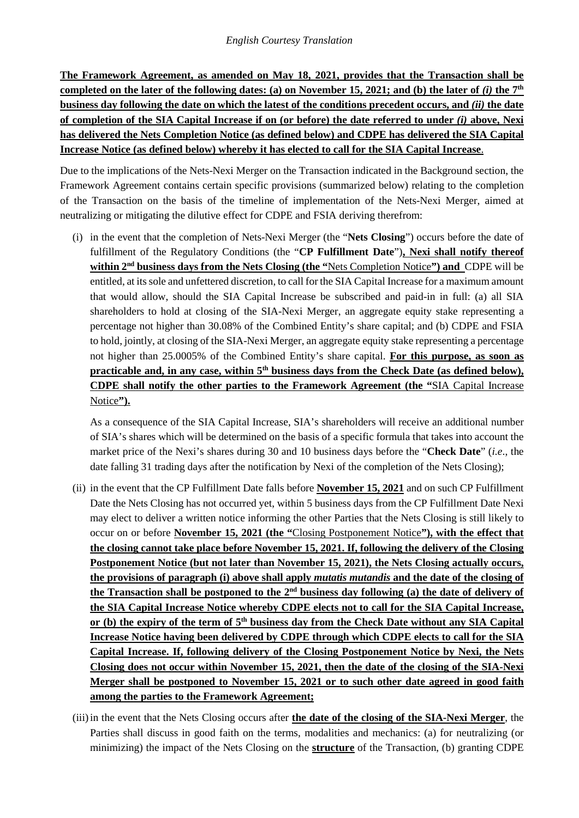**The Framework Agreement, as amended on May 18, 2021, provides that the Transaction shall be completed on the later of the following dates:** (a) on November 15, 2021; and (b) the later of  $(i)$  the  $7<sup>th</sup>$ **business day following the date on which the latest of the conditions precedent occurs, and** *(ii)* **the date of completion of the SIA Capital Increase if on (or before) the date referred to under** *(i)* **above, Nexi has delivered the Nets Completion Notice (as defined below) and CDPE has delivered the SIA Capital Increase Notice (as defined below) whereby it has elected to call for the SIA Capital Increase**.

Due to the implications of the Nets-Nexi Merger on the Transaction indicated in the Background section, the Framework Agreement contains certain specific provisions (summarized below) relating to the completion of the Transaction on the basis of the timeline of implementation of the Nets-Nexi Merger, aimed at neutralizing or mitigating the dilutive effect for CDPE and FSIA deriving therefrom:

(i) in the event that the completion of Nets-Nexi Merger (the "**Nets Closing**") occurs before the date of fulfillment of the Regulatory Conditions (the "**CP Fulfillment Date**")**, Nexi shall notify thereof within 2nd business days from the Nets Closing (the "**Nets Completion Notice**") and** CDPE will be entitled, at its sole and unfettered discretion, to call for the SIA Capital Increase for a maximum amount that would allow, should the SIA Capital Increase be subscribed and paid-in in full: (a) all SIA shareholders to hold at closing of the SIA-Nexi Merger, an aggregate equity stake representing a percentage not higher than 30.08% of the Combined Entity's share capital; and (b) CDPE and FSIA to hold, jointly, at closing of the SIA-Nexi Merger, an aggregate equity stake representing a percentage not higher than 25.0005% of the Combined Entity's share capital. **For this purpose, as soon as**  practicable and, in any case, within 5<sup>th</sup> business days from the Check Date (as defined below), **CDPE shall notify the other parties to the Framework Agreement (the "**SIA Capital Increase Notice**").**

As a consequence of the SIA Capital Increase, SIA's shareholders will receive an additional number of SIA's shares which will be determined on the basis of a specific formula that takes into account the market price of the Nexi's shares during 30 and 10 business days before the "**Check Date**" (*i.e*., the date falling 31 trading days after the notification by Nexi of the completion of the Nets Closing);

- (ii) in the event that the CP Fulfillment Date falls before **November 15, 2021** and on such CP Fulfillment Date the Nets Closing has not occurred yet, within 5 business days from the CP Fulfillment Date Nexi may elect to deliver a written notice informing the other Parties that the Nets Closing is still likely to occur on or before **November 15, 2021 (the "**Closing Postponement Notice**"), with the effect that the closing cannot take place before November 15, 2021. If, following the delivery of the Closing Postponement Notice (but not later than November 15, 2021), the Nets Closing actually occurs, the provisions of paragraph (i) above shall apply** *mutatis mutandis* **and the date of the closing of the Transaction shall be postponed to the 2nd business day following (a) the date of delivery of the SIA Capital Increase Notice whereby CDPE elects not to call for the SIA Capital Increase, or (b) the expiry of the term of 5th business day from the Check Date without any SIA Capital Increase Notice having been delivered by CDPE through which CDPE elects to call for the SIA Capital Increase. If, following delivery of the Closing Postponement Notice by Nexi, the Nets Closing does not occur within November 15, 2021, then the date of the closing of the SIA-Nexi Merger shall be postponed to November 15, 2021 or to such other date agreed in good faith among the parties to the Framework Agreement;**
- (iii)in the event that the Nets Closing occurs after **the date of the closing of the SIA-Nexi Merger**, the Parties shall discuss in good faith on the terms, modalities and mechanics: (a) for neutralizing (or minimizing) the impact of the Nets Closing on the **structure** of the Transaction, (b) granting CDPE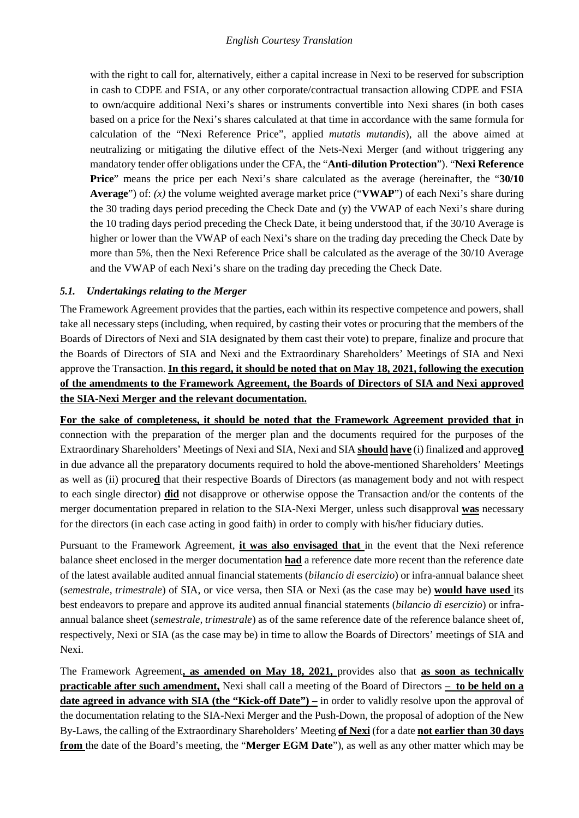with the right to call for, alternatively, either a capital increase in Nexi to be reserved for subscription in cash to CDPE and FSIA, or any other corporate/contractual transaction allowing CDPE and FSIA to own/acquire additional Nexi's shares or instruments convertible into Nexi shares (in both cases based on a price for the Nexi's shares calculated at that time in accordance with the same formula for calculation of the "Nexi Reference Price", applied *mutatis mutandis*), all the above aimed at neutralizing or mitigating the dilutive effect of the Nets-Nexi Merger (and without triggering any mandatory tender offer obligations under the CFA, the "**Anti-dilution Protection**"). "**Nexi Reference Price**" means the price per each Nexi's share calculated as the average (hereinafter, the "**30/10 Average**") of: *(x)* the volume weighted average market price ("**VWAP**") of each Nexi's share during the 30 trading days period preceding the Check Date and (y) the VWAP of each Nexi's share during the 10 trading days period preceding the Check Date, it being understood that, if the 30/10 Average is higher or lower than the VWAP of each Nexi's share on the trading day preceding the Check Date by more than 5%, then the Nexi Reference Price shall be calculated as the average of the 30/10 Average and the VWAP of each Nexi's share on the trading day preceding the Check Date.

### *5.1. Undertakings relating to the Merger*

The Framework Agreement provides that the parties, each within its respective competence and powers, shall take all necessary steps (including, when required, by casting their votes or procuring that the members of the Boards of Directors of Nexi and SIA designated by them cast their vote) to prepare, finalize and procure that the Boards of Directors of SIA and Nexi and the Extraordinary Shareholders' Meetings of SIA and Nexi approve the Transaction. **In this regard, it should be noted that on May 18, 2021, following the execution of the amendments to the Framework Agreement, the Boards of Directors of SIA and Nexi approved the SIA-Nexi Merger and the relevant documentation.**

**For the sake of completeness, it should be noted that the Framework Agreement provided that i**n connection with the preparation of the merger plan and the documents required for the purposes of the Extraordinary Shareholders' Meetings of Nexi and SIA, Nexi and SIA **should have** (i) finalize**d** and approve**d** in due advance all the preparatory documents required to hold the above-mentioned Shareholders' Meetings as well as (ii) procure**d** that their respective Boards of Directors (as management body and not with respect to each single director) **did** not disapprove or otherwise oppose the Transaction and/or the contents of the merger documentation prepared in relation to the SIA-Nexi Merger, unless such disapproval **was** necessary for the directors (in each case acting in good faith) in order to comply with his/her fiduciary duties.

Pursuant to the Framework Agreement, **it was also envisaged that** in the event that the Nexi reference balance sheet enclosed in the merger documentation **had** a reference date more recent than the reference date of the latest available audited annual financial statements (*bilancio di esercizio*) or infra-annual balance sheet (*semestrale, trimestrale*) of SIA, or vice versa, then SIA or Nexi (as the case may be) **would have used** its best endeavors to prepare and approve its audited annual financial statements (*bilancio di esercizio*) or infraannual balance sheet (*semestrale, trimestrale*) as of the same reference date of the reference balance sheet of, respectively, Nexi or SIA (as the case may be) in time to allow the Boards of Directors' meetings of SIA and Nexi.

The Framework Agreement**, as amended on May 18, 2021,** provides also that **as soon as technically practicable after such amendment,** Nexi shall call a meeting of the Board of Directors **– to be held on a date agreed in advance with SIA (the "Kick-off Date")** – in order to validly resolve upon the approval of the documentation relating to the SIA-Nexi Merger and the Push-Down, the proposal of adoption of the New By-Laws, the calling of the Extraordinary Shareholders' Meeting **of Nexi** (for a date **not earlier than 30 days from** the date of the Board's meeting, the "**Merger EGM Date**"), as well as any other matter which may be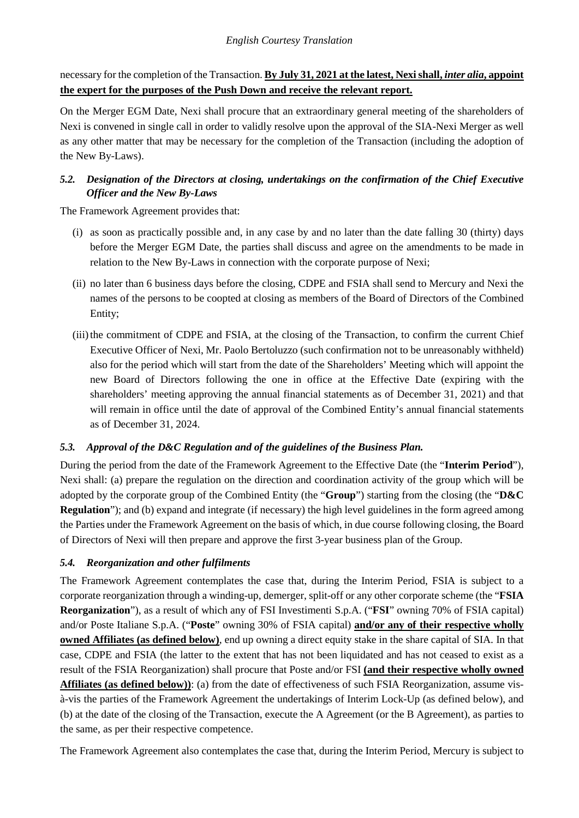necessary for the completion of the Transaction. **By July 31, 2021 at the latest, Nexi shall,** *inter alia***, appoint the expert for the purposes of the Push Down and receive the relevant report.**

On the Merger EGM Date, Nexi shall procure that an extraordinary general meeting of the shareholders of Nexi is convened in single call in order to validly resolve upon the approval of the SIA-Nexi Merger as well as any other matter that may be necessary for the completion of the Transaction (including the adoption of the New By-Laws).

## *5.2. Designation of the Directors at closing, undertakings on the confirmation of the Chief Executive Officer and the New By-Laws*

The Framework Agreement provides that:

- (i) as soon as practically possible and, in any case by and no later than the date falling 30 (thirty) days before the Merger EGM Date, the parties shall discuss and agree on the amendments to be made in relation to the New By-Laws in connection with the corporate purpose of Nexi;
- (ii) no later than 6 business days before the closing, CDPE and FSIA shall send to Mercury and Nexi the names of the persons to be coopted at closing as members of the Board of Directors of the Combined Entity;
- (iii) the commitment of CDPE and FSIA, at the closing of the Transaction, to confirm the current Chief Executive Officer of Nexi, Mr. Paolo Bertoluzzo (such confirmation not to be unreasonably withheld) also for the period which will start from the date of the Shareholders' Meeting which will appoint the new Board of Directors following the one in office at the Effective Date (expiring with the shareholders' meeting approving the annual financial statements as of December 31, 2021) and that will remain in office until the date of approval of the Combined Entity's annual financial statements as of December 31, 2024.

## *5.3. Approval of the D&C Regulation and of the guidelines of the Business Plan.*

During the period from the date of the Framework Agreement to the Effective Date (the "**Interim Period**"), Nexi shall: (a) prepare the regulation on the direction and coordination activity of the group which will be adopted by the corporate group of the Combined Entity (the "**Group**") starting from the closing (the "**D&C Regulation**"); and (b) expand and integrate (if necessary) the high level guidelines in the form agreed among the Parties under the Framework Agreement on the basis of which, in due course following closing, the Board of Directors of Nexi will then prepare and approve the first 3-year business plan of the Group.

## *5.4. Reorganization and other fulfilments*

The Framework Agreement contemplates the case that, during the Interim Period, FSIA is subject to a corporate reorganization through a winding-up, demerger, split-off or any other corporate scheme (the "**FSIA Reorganization**"), as a result of which any of FSI Investimenti S.p.A. ("**FSI**" owning 70% of FSIA capital) and/or Poste Italiane S.p.A. ("**Poste**" owning 30% of FSIA capital) **and/or any of their respective wholly owned Affiliates (as defined below)**, end up owning a direct equity stake in the share capital of SIA. In that case, CDPE and FSIA (the latter to the extent that has not been liquidated and has not ceased to exist as a result of the FSIA Reorganization) shall procure that Poste and/or FSI **(and their respective wholly owned Affiliates (as defined below))**: (a) from the date of effectiveness of such FSIA Reorganization, assume visà-vis the parties of the Framework Agreement the undertakings of Interim Lock-Up (as defined below), and (b) at the date of the closing of the Transaction, execute the A Agreement (or the B Agreement), as parties to the same, as per their respective competence.

The Framework Agreement also contemplates the case that, during the Interim Period, Mercury is subject to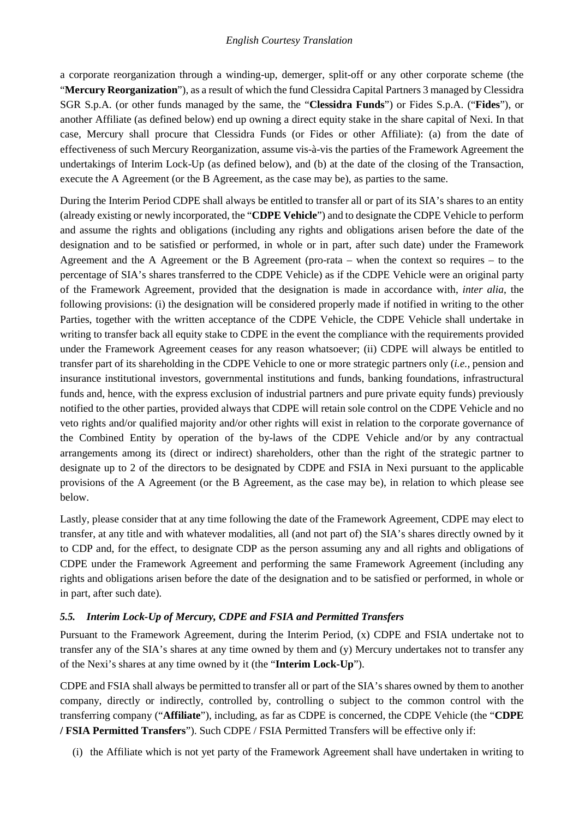a corporate reorganization through a winding-up, demerger, split-off or any other corporate scheme (the "**Mercury Reorganization**"), as a result of which the fund Clessidra Capital Partners 3 managed by Clessidra SGR S.p.A. (or other funds managed by the same, the "**Clessidra Funds**") or Fides S.p.A. ("**Fides**"), or another Affiliate (as defined below) end up owning a direct equity stake in the share capital of Nexi. In that case, Mercury shall procure that Clessidra Funds (or Fides or other Affiliate): (a) from the date of effectiveness of such Mercury Reorganization, assume vis-à-vis the parties of the Framework Agreement the undertakings of Interim Lock-Up (as defined below), and (b) at the date of the closing of the Transaction, execute the A Agreement (or the B Agreement, as the case may be), as parties to the same.

During the Interim Period CDPE shall always be entitled to transfer all or part of its SIA's shares to an entity (already existing or newly incorporated, the "**CDPE Vehicle**") and to designate the CDPE Vehicle to perform and assume the rights and obligations (including any rights and obligations arisen before the date of the designation and to be satisfied or performed, in whole or in part, after such date) under the Framework Agreement and the A Agreement or the B Agreement (pro-rata – when the context so requires – to the percentage of SIA's shares transferred to the CDPE Vehicle) as if the CDPE Vehicle were an original party of the Framework Agreement, provided that the designation is made in accordance with, *inter alia*, the following provisions: (i) the designation will be considered properly made if notified in writing to the other Parties, together with the written acceptance of the CDPE Vehicle, the CDPE Vehicle shall undertake in writing to transfer back all equity stake to CDPE in the event the compliance with the requirements provided under the Framework Agreement ceases for any reason whatsoever; (ii) CDPE will always be entitled to transfer part of its shareholding in the CDPE Vehicle to one or more strategic partners only (*i.e.,* pension and insurance institutional investors, governmental institutions and funds, banking foundations, infrastructural funds and, hence, with the express exclusion of industrial partners and pure private equity funds) previously notified to the other parties, provided always that CDPE will retain sole control on the CDPE Vehicle and no veto rights and/or qualified majority and/or other rights will exist in relation to the corporate governance of the Combined Entity by operation of the by-laws of the CDPE Vehicle and/or by any contractual arrangements among its (direct or indirect) shareholders, other than the right of the strategic partner to designate up to 2 of the directors to be designated by CDPE and FSIA in Nexi pursuant to the applicable provisions of the A Agreement (or the B Agreement, as the case may be), in relation to which please see below.

Lastly, please consider that at any time following the date of the Framework Agreement, CDPE may elect to transfer, at any title and with whatever modalities, all (and not part of) the SIA's shares directly owned by it to CDP and, for the effect, to designate CDP as the person assuming any and all rights and obligations of CDPE under the Framework Agreement and performing the same Framework Agreement (including any rights and obligations arisen before the date of the designation and to be satisfied or performed, in whole or in part, after such date).

### *5.5. Interim Lock-Up of Mercury, CDPE and FSIA and Permitted Transfers*

Pursuant to the Framework Agreement, during the Interim Period, (x) CDPE and FSIA undertake not to transfer any of the SIA's shares at any time owned by them and (y) Mercury undertakes not to transfer any of the Nexi's shares at any time owned by it (the "**Interim Lock-Up**").

CDPE and FSIA shall always be permitted to transfer all or part of the SIA's shares owned by them to another company, directly or indirectly, controlled by, controlling o subject to the common control with the transferring company ("**Affiliate**"), including, as far as CDPE is concerned, the CDPE Vehicle (the "**CDPE / FSIA Permitted Transfers**"). Such CDPE / FSIA Permitted Transfers will be effective only if:

(i) the Affiliate which is not yet party of the Framework Agreement shall have undertaken in writing to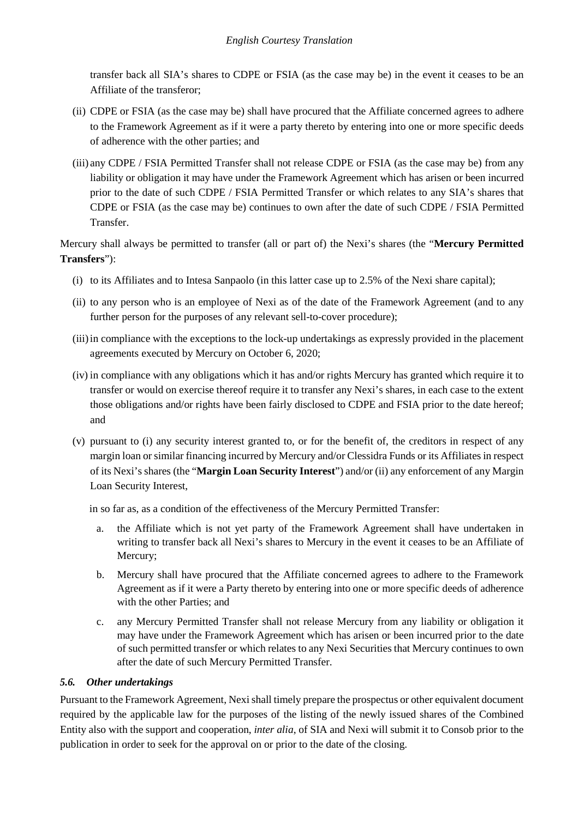transfer back all SIA's shares to CDPE or FSIA (as the case may be) in the event it ceases to be an Affiliate of the transferor;

- (ii) CDPE or FSIA (as the case may be) shall have procured that the Affiliate concerned agrees to adhere to the Framework Agreement as if it were a party thereto by entering into one or more specific deeds of adherence with the other parties; and
- (iii) any CDPE / FSIA Permitted Transfer shall not release CDPE or FSIA (as the case may be) from any liability or obligation it may have under the Framework Agreement which has arisen or been incurred prior to the date of such CDPE / FSIA Permitted Transfer or which relates to any SIA's shares that CDPE or FSIA (as the case may be) continues to own after the date of such CDPE / FSIA Permitted Transfer.

Mercury shall always be permitted to transfer (all or part of) the Nexi's shares (the "**Mercury Permitted Transfers**"):

- (i) to its Affiliates and to Intesa Sanpaolo (in this latter case up to 2.5% of the Nexi share capital);
- (ii) to any person who is an employee of Nexi as of the date of the Framework Agreement (and to any further person for the purposes of any relevant sell-to-cover procedure);
- (iii) in compliance with the exceptions to the lock-up undertakings as expressly provided in the placement agreements executed by Mercury on October 6, 2020;
- (iv) in compliance with any obligations which it has and/or rights Mercury has granted which require it to transfer or would on exercise thereof require it to transfer any Nexi's shares, in each case to the extent those obligations and/or rights have been fairly disclosed to CDPE and FSIA prior to the date hereof; and
- (v) pursuant to (i) any security interest granted to, or for the benefit of, the creditors in respect of any margin loan or similar financing incurred by Mercury and/or Clessidra Funds or its Affiliates in respect of its Nexi's shares (the "**Margin Loan Security Interest**") and/or (ii) any enforcement of any Margin Loan Security Interest,

in so far as, as a condition of the effectiveness of the Mercury Permitted Transfer:

- a. the Affiliate which is not yet party of the Framework Agreement shall have undertaken in writing to transfer back all Nexi's shares to Mercury in the event it ceases to be an Affiliate of Mercury;
- b. Mercury shall have procured that the Affiliate concerned agrees to adhere to the Framework Agreement as if it were a Party thereto by entering into one or more specific deeds of adherence with the other Parties; and
- c. any Mercury Permitted Transfer shall not release Mercury from any liability or obligation it may have under the Framework Agreement which has arisen or been incurred prior to the date of such permitted transfer or which relates to any Nexi Securities that Mercury continues to own after the date of such Mercury Permitted Transfer.

### *5.6. Other undertakings*

Pursuant to the Framework Agreement, Nexi shall timely prepare the prospectus or other equivalent document required by the applicable law for the purposes of the listing of the newly issued shares of the Combined Entity also with the support and cooperation, *inter alia*, of SIA and Nexi will submit it to Consob prior to the publication in order to seek for the approval on or prior to the date of the closing.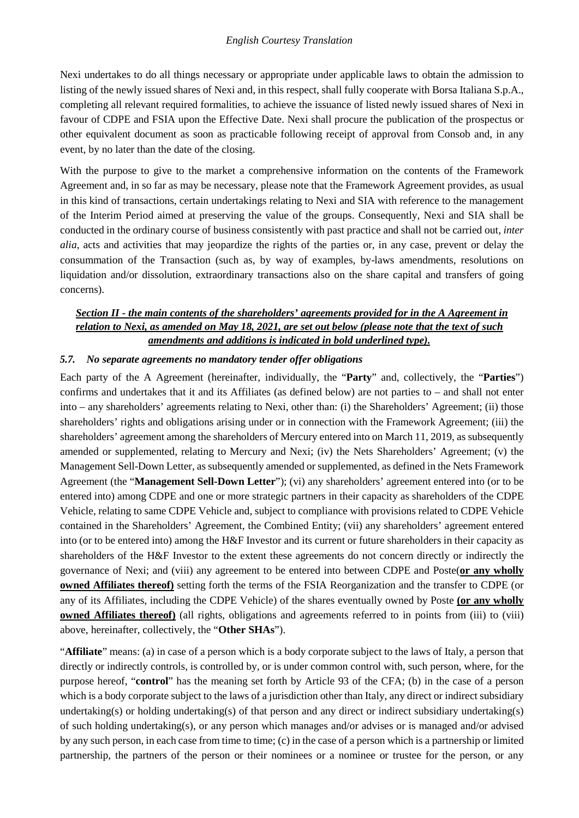Nexi undertakes to do all things necessary or appropriate under applicable laws to obtain the admission to listing of the newly issued shares of Nexi and, in this respect, shall fully cooperate with Borsa Italiana S.p.A., completing all relevant required formalities, to achieve the issuance of listed newly issued shares of Nexi in favour of CDPE and FSIA upon the Effective Date. Nexi shall procure the publication of the prospectus or other equivalent document as soon as practicable following receipt of approval from Consob and, in any event, by no later than the date of the closing.

With the purpose to give to the market a comprehensive information on the contents of the Framework Agreement and, in so far as may be necessary, please note that the Framework Agreement provides, as usual in this kind of transactions, certain undertakings relating to Nexi and SIA with reference to the management of the Interim Period aimed at preserving the value of the groups. Consequently, Nexi and SIA shall be conducted in the ordinary course of business consistently with past practice and shall not be carried out, *inter alia*, acts and activities that may jeopardize the rights of the parties or, in any case, prevent or delay the consummation of the Transaction (such as, by way of examples, by-laws amendments, resolutions on liquidation and/or dissolution, extraordinary transactions also on the share capital and transfers of going concerns).

### *Section II - the main contents of the shareholders' agreements provided for in the A Agreement in relation to Nexi, as amended on May 18, 2021, are set out below (please note that the text of such amendments and additions is indicated in bold underlined type).*

### *5.7. No separate agreements no mandatory tender offer obligations*

Each party of the A Agreement (hereinafter, individually, the "**Party**" and, collectively, the "**Parties**") confirms and undertakes that it and its Affiliates (as defined below) are not parties to – and shall not enter into – any shareholders' agreements relating to Nexi, other than: (i) the Shareholders' Agreement; (ii) those shareholders' rights and obligations arising under or in connection with the Framework Agreement; (iii) the shareholders' agreement among the shareholders of Mercury entered into on March 11, 2019, as subsequently amended or supplemented, relating to Mercury and Nexi; (iv) the Nets Shareholders' Agreement; (v) the Management Sell-Down Letter, as subsequently amended or supplemented, as defined in the Nets Framework Agreement (the "**Management Sell-Down Letter**"); (vi) any shareholders' agreement entered into (or to be entered into) among CDPE and one or more strategic partners in their capacity as shareholders of the CDPE Vehicle, relating to same CDPE Vehicle and, subject to compliance with provisions related to CDPE Vehicle contained in the Shareholders' Agreement, the Combined Entity; (vii) any shareholders' agreement entered into (or to be entered into) among the H&F Investor and its current or future shareholders in their capacity as shareholders of the H&F Investor to the extent these agreements do not concern directly or indirectly the governance of Nexi; and (viii) any agreement to be entered into between CDPE and Poste(**or any wholly owned Affiliates thereof)** setting forth the terms of the FSIA Reorganization and the transfer to CDPE (or any of its Affiliates, including the CDPE Vehicle) of the shares eventually owned by Poste **(or any wholly owned Affiliates thereof**) (all rights, obligations and agreements referred to in points from (iii) to (viii) above, hereinafter, collectively, the "**Other SHAs**").

"**Affiliate**" means: (a) in case of a person which is a body corporate subject to the laws of Italy, a person that directly or indirectly controls, is controlled by, or is under common control with, such person, where, for the purpose hereof, "**control**" has the meaning set forth by Article 93 of the CFA; (b) in the case of a person which is a body corporate subject to the laws of a jurisdiction other than Italy, any direct or indirect subsidiary undertaking(s) or holding undertaking(s) of that person and any direct or indirect subsidiary undertaking(s) of such holding undertaking(s), or any person which manages and/or advises or is managed and/or advised by any such person, in each case from time to time; (c) in the case of a person which is a partnership or limited partnership, the partners of the person or their nominees or a nominee or trustee for the person, or any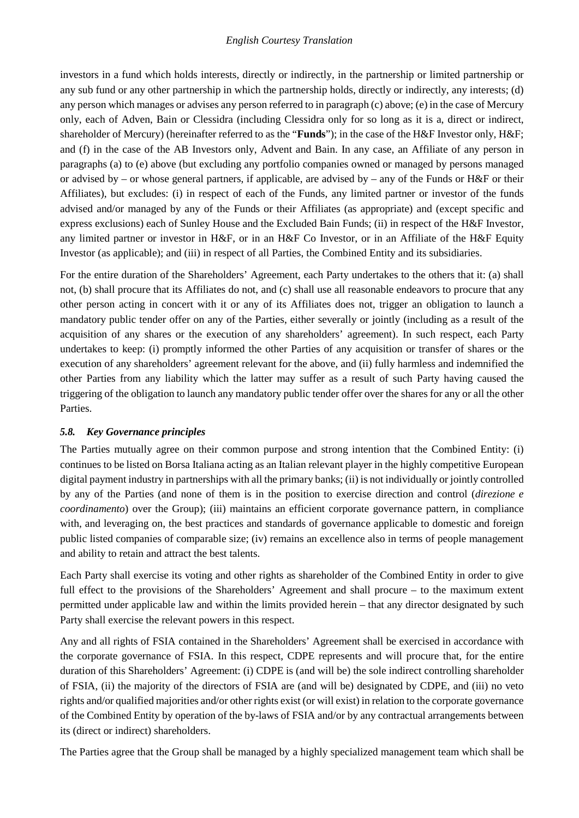investors in a fund which holds interests, directly or indirectly, in the partnership or limited partnership or any sub fund or any other partnership in which the partnership holds, directly or indirectly, any interests; (d) any person which manages or advises any person referred to in paragraph (c) above; (e) in the case of Mercury only, each of Adven, Bain or Clessidra (including Clessidra only for so long as it is a, direct or indirect, shareholder of Mercury) (hereinafter referred to as the "**Funds**"); in the case of the H&F Investor only, H&F; and (f) in the case of the AB Investors only, Advent and Bain. In any case, an Affiliate of any person in paragraphs (a) to (e) above (but excluding any portfolio companies owned or managed by persons managed or advised by – or whose general partners, if applicable, are advised by – any of the Funds or H&F or their Affiliates), but excludes: (i) in respect of each of the Funds, any limited partner or investor of the funds advised and/or managed by any of the Funds or their Affiliates (as appropriate) and (except specific and express exclusions) each of Sunley House and the Excluded Bain Funds; (ii) in respect of the H&F Investor, any limited partner or investor in H&F, or in an H&F Co Investor, or in an Affiliate of the H&F Equity Investor (as applicable); and (iii) in respect of all Parties, the Combined Entity and its subsidiaries.

For the entire duration of the Shareholders' Agreement, each Party undertakes to the others that it: (a) shall not, (b) shall procure that its Affiliates do not, and (c) shall use all reasonable endeavors to procure that any other person acting in concert with it or any of its Affiliates does not, trigger an obligation to launch a mandatory public tender offer on any of the Parties, either severally or jointly (including as a result of the acquisition of any shares or the execution of any shareholders' agreement). In such respect, each Party undertakes to keep: (i) promptly informed the other Parties of any acquisition or transfer of shares or the execution of any shareholders' agreement relevant for the above, and (ii) fully harmless and indemnified the other Parties from any liability which the latter may suffer as a result of such Party having caused the triggering of the obligation to launch any mandatory public tender offer over the shares for any or all the other Parties.

### *5.8. Key Governance principles*

The Parties mutually agree on their common purpose and strong intention that the Combined Entity: (i) continues to be listed on Borsa Italiana acting as an Italian relevant player in the highly competitive European digital payment industry in partnerships with all the primary banks; (ii) is not individually or jointly controlled by any of the Parties (and none of them is in the position to exercise direction and control (*direzione e coordinamento*) over the Group); (iii) maintains an efficient corporate governance pattern, in compliance with, and leveraging on, the best practices and standards of governance applicable to domestic and foreign public listed companies of comparable size; (iv) remains an excellence also in terms of people management and ability to retain and attract the best talents.

Each Party shall exercise its voting and other rights as shareholder of the Combined Entity in order to give full effect to the provisions of the Shareholders' Agreement and shall procure – to the maximum extent permitted under applicable law and within the limits provided herein – that any director designated by such Party shall exercise the relevant powers in this respect.

Any and all rights of FSIA contained in the Shareholders' Agreement shall be exercised in accordance with the corporate governance of FSIA. In this respect, CDPE represents and will procure that, for the entire duration of this Shareholders' Agreement: (i) CDPE is (and will be) the sole indirect controlling shareholder of FSIA, (ii) the majority of the directors of FSIA are (and will be) designated by CDPE, and (iii) no veto rights and/or qualified majorities and/or other rights exist (or will exist) in relation to the corporate governance of the Combined Entity by operation of the by-laws of FSIA and/or by any contractual arrangements between its (direct or indirect) shareholders.

The Parties agree that the Group shall be managed by a highly specialized management team which shall be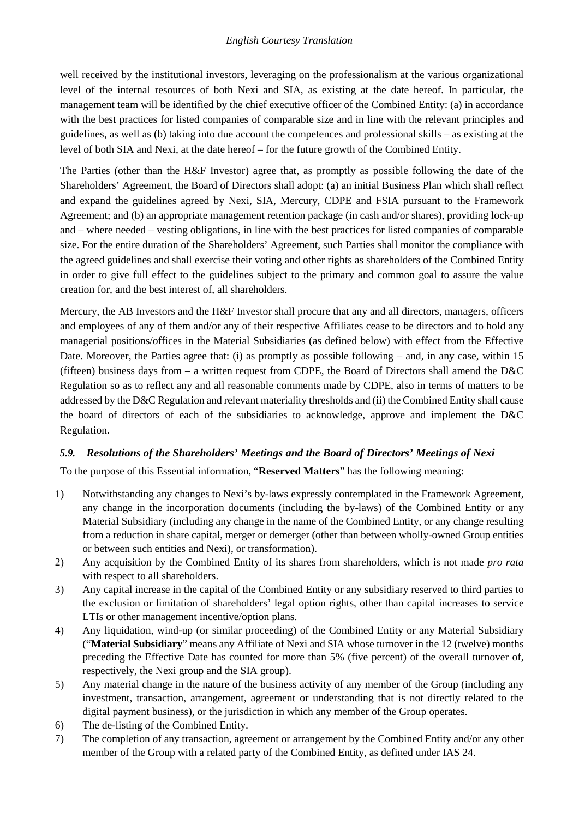well received by the institutional investors, leveraging on the professionalism at the various organizational level of the internal resources of both Nexi and SIA, as existing at the date hereof. In particular, the management team will be identified by the chief executive officer of the Combined Entity: (a) in accordance with the best practices for listed companies of comparable size and in line with the relevant principles and guidelines, as well as (b) taking into due account the competences and professional skills – as existing at the level of both SIA and Nexi, at the date hereof – for the future growth of the Combined Entity.

The Parties (other than the H&F Investor) agree that, as promptly as possible following the date of the Shareholders' Agreement, the Board of Directors shall adopt: (a) an initial Business Plan which shall reflect and expand the guidelines agreed by Nexi, SIA, Mercury, CDPE and FSIA pursuant to the Framework Agreement; and (b) an appropriate management retention package (in cash and/or shares), providing lock-up and – where needed – vesting obligations, in line with the best practices for listed companies of comparable size. For the entire duration of the Shareholders' Agreement, such Parties shall monitor the compliance with the agreed guidelines and shall exercise their voting and other rights as shareholders of the Combined Entity in order to give full effect to the guidelines subject to the primary and common goal to assure the value creation for, and the best interest of, all shareholders.

Mercury, the AB Investors and the H&F Investor shall procure that any and all directors, managers, officers and employees of any of them and/or any of their respective Affiliates cease to be directors and to hold any managerial positions/offices in the Material Subsidiaries (as defined below) with effect from the Effective Date. Moreover, the Parties agree that: (i) as promptly as possible following – and, in any case, within 15 (fifteen) business days from – a written request from CDPE, the Board of Directors shall amend the D&C Regulation so as to reflect any and all reasonable comments made by CDPE, also in terms of matters to be addressed by the D&C Regulation and relevant materiality thresholds and (ii) the Combined Entity shall cause the board of directors of each of the subsidiaries to acknowledge, approve and implement the D&C Regulation.

### *5.9. Resolutions of the Shareholders' Meetings and the Board of Directors' Meetings of Nexi*

To the purpose of this Essential information, "**Reserved Matters**" has the following meaning:

- 1) Notwithstanding any changes to Nexi's by-laws expressly contemplated in the Framework Agreement, any change in the incorporation documents (including the by-laws) of the Combined Entity or any Material Subsidiary (including any change in the name of the Combined Entity, or any change resulting from a reduction in share capital, merger or demerger (other than between wholly-owned Group entities or between such entities and Nexi), or transformation).
- 2) Any acquisition by the Combined Entity of its shares from shareholders, which is not made *pro rata* with respect to all shareholders.
- 3) Any capital increase in the capital of the Combined Entity or any subsidiary reserved to third parties to the exclusion or limitation of shareholders' legal option rights, other than capital increases to service LTIs or other management incentive/option plans.
- 4) Any liquidation, wind-up (or similar proceeding) of the Combined Entity or any Material Subsidiary ("**Material Subsidiary**" means any Affiliate of Nexi and SIA whose turnover in the 12 (twelve) months preceding the Effective Date has counted for more than 5% (five percent) of the overall turnover of, respectively, the Nexi group and the SIA group).
- 5) Any material change in the nature of the business activity of any member of the Group (including any investment, transaction, arrangement, agreement or understanding that is not directly related to the digital payment business), or the jurisdiction in which any member of the Group operates.
- 6) The de-listing of the Combined Entity.
- 7) The completion of any transaction, agreement or arrangement by the Combined Entity and/or any other member of the Group with a related party of the Combined Entity, as defined under IAS 24.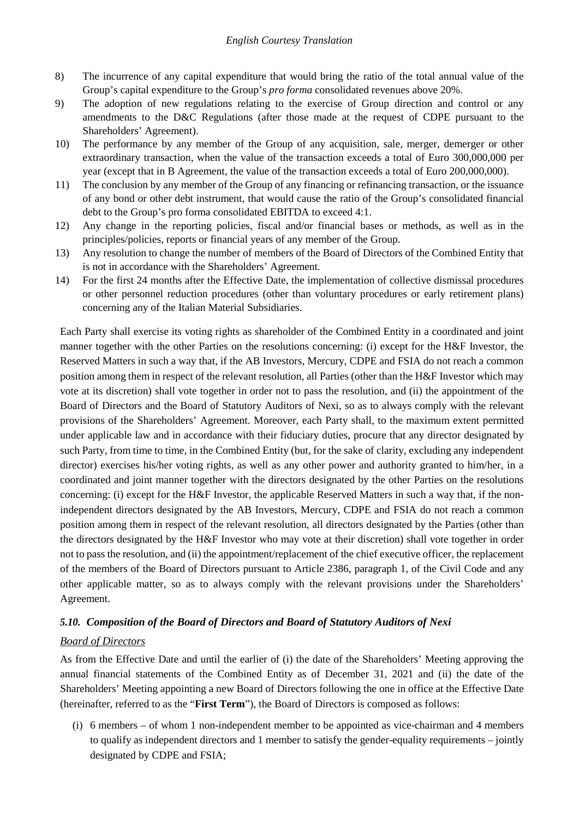- 8) The incurrence of any capital expenditure that would bring the ratio of the total annual value of the Group's capital expenditure to the Group's *pro forma* consolidated revenues above 20%.
- 9) The adoption of new regulations relating to the exercise of Group direction and control or any amendments to the D&C Regulations (after those made at the request of CDPE pursuant to the Shareholders' Agreement).
- 10) The performance by any member of the Group of any acquisition, sale, merger, demerger or other extraordinary transaction, when the value of the transaction exceeds a total of Euro 300,000,000 per year (except that in B Agreement, the value of the transaction exceeds a total of Euro 200,000,000).
- 11) The conclusion by any member of the Group of any financing or refinancing transaction, or the issuance of any bond or other debt instrument, that would cause the ratio of the Group's consolidated financial debt to the Group's pro forma consolidated EBITDA to exceed 4:1.
- 12) Any change in the reporting policies, fiscal and/or financial bases or methods, as well as in the principles/policies, reports or financial years of any member of the Group.
- 13) Any resolution to change the number of members of the Board of Directors of the Combined Entity that is not in accordance with the Shareholders' Agreement.
- 14) For the first 24 months after the Effective Date, the implementation of collective dismissal procedures or other personnel reduction procedures (other than voluntary procedures or early retirement plans) concerning any of the Italian Material Subsidiaries.

Each Party shall exercise its voting rights as shareholder of the Combined Entity in a coordinated and joint manner together with the other Parties on the resolutions concerning: (i) except for the H&F Investor, the Reserved Matters in such a way that, if the AB Investors, Mercury, CDPE and FSIA do not reach a common position among them in respect of the relevant resolution, all Parties (other than the H&F Investor which may vote at its discretion) shall vote together in order not to pass the resolution, and (ii) the appointment of the Board of Directors and the Board of Statutory Auditors of Nexi, so as to always comply with the relevant provisions of the Shareholders' Agreement. Moreover, each Party shall, to the maximum extent permitted under applicable law and in accordance with their fiduciary duties, procure that any director designated by such Party, from time to time, in the Combined Entity (but, for the sake of clarity, excluding any independent director) exercises his/her voting rights, as well as any other power and authority granted to him/her, in a coordinated and joint manner together with the directors designated by the other Parties on the resolutions concerning: (i) except for the H&F Investor, the applicable Reserved Matters in such a way that, if the nonindependent directors designated by the AB Investors, Mercury, CDPE and FSIA do not reach a common position among them in respect of the relevant resolution, all directors designated by the Parties (other than the directors designated by the H&F Investor who may vote at their discretion) shall vote together in order not to pass the resolution, and (ii) the appointment/replacement of the chief executive officer, the replacement of the members of the Board of Directors pursuant to Article 2386, paragraph 1, of the Civil Code and any other applicable matter, so as to always comply with the relevant provisions under the Shareholders' Agreement.

## *5.10. Composition of the Board of Directors and Board of Statutory Auditors of Nexi*

### *Board of Directors*

As from the Effective Date and until the earlier of (i) the date of the Shareholders' Meeting approving the annual financial statements of the Combined Entity as of December 31, 2021 and (ii) the date of the Shareholders' Meeting appointing a new Board of Directors following the one in office at the Effective Date (hereinafter, referred to as the "**First Term**"), the Board of Directors is composed as follows:

(i) 6 members – of whom 1 non-independent member to be appointed as vice-chairman and 4 members to qualify as independent directors and 1 member to satisfy the gender-equality requirements – jointly designated by CDPE and FSIA;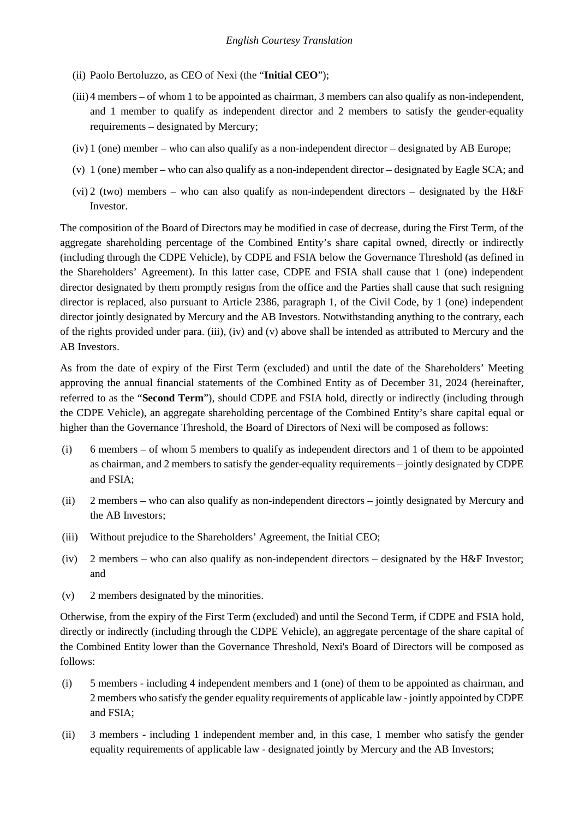- (ii) Paolo Bertoluzzo, as CEO of Nexi (the "**Initial CEO**");
- (iii) 4 members of whom 1 to be appointed as chairman, 3 members can also qualify as non-independent, and 1 member to qualify as independent director and 2 members to satisfy the gender-equality requirements – designated by Mercury;
- (iv) 1 (one) member who can also qualify as a non-independent director designated by AB Europe;
- (v) 1 (one) member who can also qualify as a non-independent director designated by Eagle SCA; and
- (vi) 2 (two) members who can also qualify as non-independent directors designated by the  $H \&F$ Investor.

The composition of the Board of Directors may be modified in case of decrease, during the First Term, of the aggregate shareholding percentage of the Combined Entity's share capital owned, directly or indirectly (including through the CDPE Vehicle), by CDPE and FSIA below the Governance Threshold (as defined in the Shareholders' Agreement). In this latter case, CDPE and FSIA shall cause that 1 (one) independent director designated by them promptly resigns from the office and the Parties shall cause that such resigning director is replaced, also pursuant to Article 2386, paragraph 1, of the Civil Code, by 1 (one) independent director jointly designated by Mercury and the AB Investors. Notwithstanding anything to the contrary, each of the rights provided under para. (iii), (iv) and (v) above shall be intended as attributed to Mercury and the AB Investors.

As from the date of expiry of the First Term (excluded) and until the date of the Shareholders' Meeting approving the annual financial statements of the Combined Entity as of December 31, 2024 (hereinafter, referred to as the "**Second Term**"), should CDPE and FSIA hold, directly or indirectly (including through the CDPE Vehicle), an aggregate shareholding percentage of the Combined Entity's share capital equal or higher than the Governance Threshold, the Board of Directors of Nexi will be composed as follows:

- (i) 6 members of whom 5 members to qualify as independent directors and 1 of them to be appointed as chairman, and 2 members to satisfy the gender-equality requirements – jointly designated by CDPE and FSIA;
- (ii) 2 members who can also qualify as non-independent directors jointly designated by Mercury and the AB Investors;
- (iii) Without prejudice to the Shareholders' Agreement, the Initial CEO;
- (iv) 2 members who can also qualify as non-independent directors designated by the H&F Investor; and
- (v) 2 members designated by the minorities.

Otherwise, from the expiry of the First Term (excluded) and until the Second Term, if CDPE and FSIA hold, directly or indirectly (including through the CDPE Vehicle), an aggregate percentage of the share capital of the Combined Entity lower than the Governance Threshold, Nexi's Board of Directors will be composed as follows:

- (i) 5 members including 4 independent members and 1 (one) of them to be appointed as chairman, and 2 members who satisfy the gender equality requirements of applicable law -jointly appointed by CDPE and FSIA;
- (ii) 3 members including 1 independent member and, in this case, 1 member who satisfy the gender equality requirements of applicable law - designated jointly by Mercury and the AB Investors;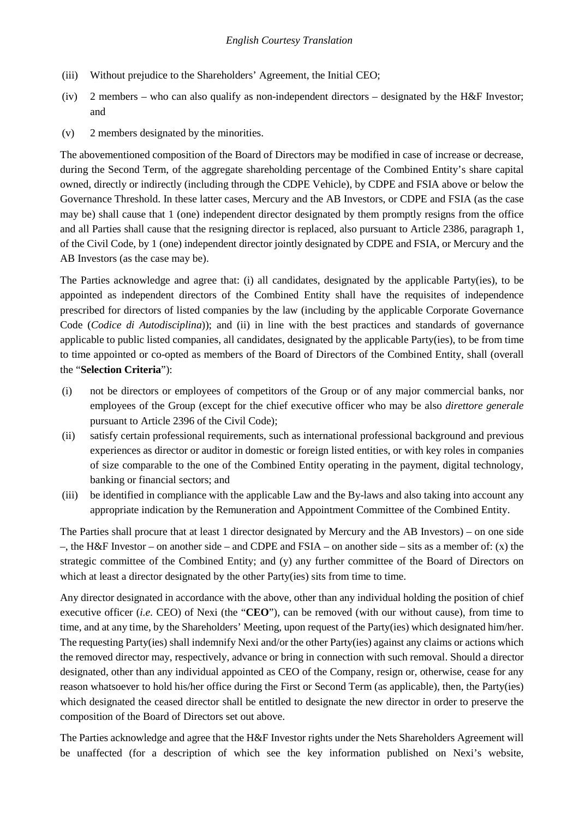- (iii) Without prejudice to the Shareholders' Agreement, the Initial CEO;
- (iv) 2 members who can also qualify as non-independent directors designated by the H&F Investor; and
- (v) 2 members designated by the minorities.

The abovementioned composition of the Board of Directors may be modified in case of increase or decrease, during the Second Term, of the aggregate shareholding percentage of the Combined Entity's share capital owned, directly or indirectly (including through the CDPE Vehicle), by CDPE and FSIA above or below the Governance Threshold. In these latter cases, Mercury and the AB Investors, or CDPE and FSIA (as the case may be) shall cause that 1 (one) independent director designated by them promptly resigns from the office and all Parties shall cause that the resigning director is replaced, also pursuant to Article 2386, paragraph 1, of the Civil Code, by 1 (one) independent director jointly designated by CDPE and FSIA, or Mercury and the AB Investors (as the case may be).

The Parties acknowledge and agree that: (i) all candidates, designated by the applicable Party(ies), to be appointed as independent directors of the Combined Entity shall have the requisites of independence prescribed for directors of listed companies by the law (including by the applicable Corporate Governance Code (*Codice di Autodisciplina*)); and (ii) in line with the best practices and standards of governance applicable to public listed companies, all candidates, designated by the applicable Party(ies), to be from time to time appointed or co-opted as members of the Board of Directors of the Combined Entity, shall (overall the "**Selection Criteria**"):

- (i) not be directors or employees of competitors of the Group or of any major commercial banks, nor employees of the Group (except for the chief executive officer who may be also *direttore generale* pursuant to Article 2396 of the Civil Code);
- (ii) satisfy certain professional requirements, such as international professional background and previous experiences as director or auditor in domestic or foreign listed entities, or with key roles in companies of size comparable to the one of the Combined Entity operating in the payment, digital technology, banking or financial sectors; and
- (iii) be identified in compliance with the applicable Law and the By-laws and also taking into account any appropriate indication by the Remuneration and Appointment Committee of the Combined Entity.

The Parties shall procure that at least 1 director designated by Mercury and the AB Investors) – on one side –, the H&F Investor – on another side – and CDPE and FSIA – on another side – sits as a member of: (x) the strategic committee of the Combined Entity; and (y) any further committee of the Board of Directors on which at least a director designated by the other Party(ies) sits from time to time.

Any director designated in accordance with the above, other than any individual holding the position of chief executive officer (*i.e.* CEO) of Nexi (the "**CEO**"), can be removed (with our without cause), from time to time, and at any time, by the Shareholders' Meeting, upon request of the Party(ies) which designated him/her. The requesting Party(ies) shall indemnify Nexi and/or the other Party(ies) against any claims or actions which the removed director may, respectively, advance or bring in connection with such removal. Should a director designated, other than any individual appointed as CEO of the Company, resign or, otherwise, cease for any reason whatsoever to hold his/her office during the First or Second Term (as applicable), then, the Party(ies) which designated the ceased director shall be entitled to designate the new director in order to preserve the composition of the Board of Directors set out above.

The Parties acknowledge and agree that the H&F Investor rights under the Nets Shareholders Agreement will be unaffected (for a description of which see the key information published on Nexi's website,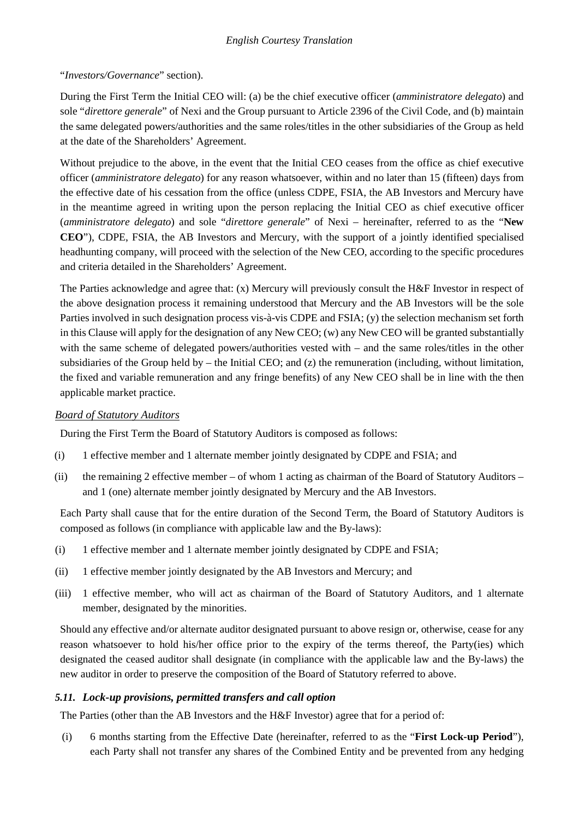### "*Investors/Governance*" section).

During the First Term the Initial CEO will: (a) be the chief executive officer (*amministratore delegato*) and sole "*direttore generale*" of Nexi and the Group pursuant to Article 2396 of the Civil Code, and (b) maintain the same delegated powers/authorities and the same roles/titles in the other subsidiaries of the Group as held at the date of the Shareholders' Agreement.

Without prejudice to the above, in the event that the Initial CEO ceases from the office as chief executive officer (*amministratore delegato*) for any reason whatsoever, within and no later than 15 (fifteen) days from the effective date of his cessation from the office (unless CDPE, FSIA, the AB Investors and Mercury have in the meantime agreed in writing upon the person replacing the Initial CEO as chief executive officer (*amministratore delegato*) and sole "*direttore generale*" of Nexi – hereinafter, referred to as the "**New CEO**"), CDPE, FSIA, the AB Investors and Mercury, with the support of a jointly identified specialised headhunting company, will proceed with the selection of the New CEO, according to the specific procedures and criteria detailed in the Shareholders' Agreement.

The Parties acknowledge and agree that: (x) Mercury will previously consult the H&F Investor in respect of the above designation process it remaining understood that Mercury and the AB Investors will be the sole Parties involved in such designation process vis-à-vis CDPE and FSIA; (y) the selection mechanism set forth in this Clause will apply for the designation of any New CEO; (w) any New CEO will be granted substantially with the same scheme of delegated powers/authorities vested with – and the same roles/titles in the other subsidiaries of the Group held by – the Initial CEO; and  $(z)$  the remuneration (including, without limitation, the fixed and variable remuneration and any fringe benefits) of any New CEO shall be in line with the then applicable market practice.

### *Board of Statutory Auditors*

During the First Term the Board of Statutory Auditors is composed as follows:

- (i) 1 effective member and 1 alternate member jointly designated by CDPE and FSIA; and
- (ii) the remaining 2 effective member of whom 1 acting as chairman of the Board of Statutory Auditors and 1 (one) alternate member jointly designated by Mercury and the AB Investors.

Each Party shall cause that for the entire duration of the Second Term, the Board of Statutory Auditors is composed as follows (in compliance with applicable law and the By-laws):

- (i) 1 effective member and 1 alternate member jointly designated by CDPE and FSIA;
- (ii) 1 effective member jointly designated by the AB Investors and Mercury; and
- (iii) 1 effective member, who will act as chairman of the Board of Statutory Auditors, and 1 alternate member, designated by the minorities.

Should any effective and/or alternate auditor designated pursuant to above resign or, otherwise, cease for any reason whatsoever to hold his/her office prior to the expiry of the terms thereof, the Party(ies) which designated the ceased auditor shall designate (in compliance with the applicable law and the By-laws) the new auditor in order to preserve the composition of the Board of Statutory referred to above.

## *5.11. Lock-up provisions, permitted transfers and call option*

The Parties (other than the AB Investors and the H&F Investor) agree that for a period of:

(i) 6 months starting from the Effective Date (hereinafter, referred to as the "**First Lock-up Period**"), each Party shall not transfer any shares of the Combined Entity and be prevented from any hedging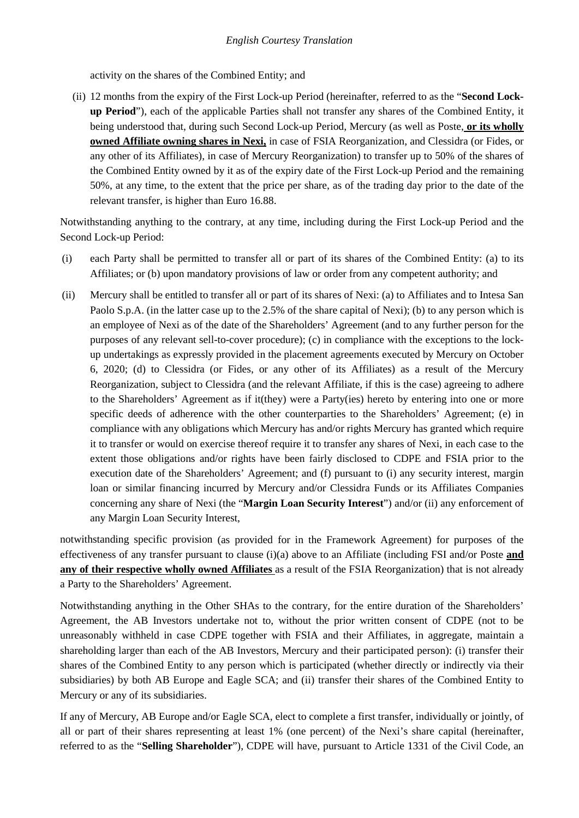activity on the shares of the Combined Entity; and

(ii) 12 months from the expiry of the First Lock-up Period (hereinafter, referred to as the "**Second Lockup Period**"), each of the applicable Parties shall not transfer any shares of the Combined Entity, it being understood that, during such Second Lock-up Period, Mercury (as well as Poste, **or its wholly owned Affiliate owning shares in Nexi,** in case of FSIA Reorganization, and Clessidra (or Fides, or any other of its Affiliates), in case of Mercury Reorganization) to transfer up to 50% of the shares of the Combined Entity owned by it as of the expiry date of the First Lock-up Period and the remaining 50%, at any time, to the extent that the price per share, as of the trading day prior to the date of the relevant transfer, is higher than Euro 16.88.

Notwithstanding anything to the contrary, at any time, including during the First Lock-up Period and the Second Lock-up Period:

- (i) each Party shall be permitted to transfer all or part of its shares of the Combined Entity: (a) to its Affiliates; or (b) upon mandatory provisions of law or order from any competent authority; and
- (ii) Mercury shall be entitled to transfer all or part of its shares of Nexi: (a) to Affiliates and to Intesa San Paolo S.p.A. (in the latter case up to the 2.5% of the share capital of Nexi); (b) to any person which is an employee of Nexi as of the date of the Shareholders' Agreement (and to any further person for the purposes of any relevant sell-to-cover procedure); (c) in compliance with the exceptions to the lockup undertakings as expressly provided in the placement agreements executed by Mercury on October 6, 2020; (d) to Clessidra (or Fides, or any other of its Affiliates) as a result of the Mercury Reorganization, subject to Clessidra (and the relevant Affiliate, if this is the case) agreeing to adhere to the Shareholders' Agreement as if it(they) were a Party(ies) hereto by entering into one or more specific deeds of adherence with the other counterparties to the Shareholders' Agreement; (e) in compliance with any obligations which Mercury has and/or rights Mercury has granted which require it to transfer or would on exercise thereof require it to transfer any shares of Nexi, in each case to the extent those obligations and/or rights have been fairly disclosed to CDPE and FSIA prior to the execution date of the Shareholders' Agreement; and (f) pursuant to (i) any security interest, margin loan or similar financing incurred by Mercury and/or Clessidra Funds or its Affiliates Companies concerning any share of Nexi (the "**Margin Loan Security Interest**") and/or (ii) any enforcement of any Margin Loan Security Interest,

notwithstanding specific provision (as provided for in the Framework Agreement) for purposes of the effectiveness of any transfer pursuant to clause (i)(a) above to an Affiliate (including FSI and/or Poste **and any of their respective wholly owned Affiliates** as a result of the FSIA Reorganization) that is not already a Party to the Shareholders' Agreement.

Notwithstanding anything in the Other SHAs to the contrary, for the entire duration of the Shareholders' Agreement, the AB Investors undertake not to, without the prior written consent of CDPE (not to be unreasonably withheld in case CDPE together with FSIA and their Affiliates, in aggregate, maintain a shareholding larger than each of the AB Investors, Mercury and their participated person): (i) transfer their shares of the Combined Entity to any person which is participated (whether directly or indirectly via their subsidiaries) by both AB Europe and Eagle SCA; and (ii) transfer their shares of the Combined Entity to Mercury or any of its subsidiaries.

If any of Mercury, AB Europe and/or Eagle SCA, elect to complete a first transfer, individually or jointly, of all or part of their shares representing at least 1% (one percent) of the Nexi's share capital (hereinafter, referred to as the "**Selling Shareholder**"), CDPE will have, pursuant to Article 1331 of the Civil Code, an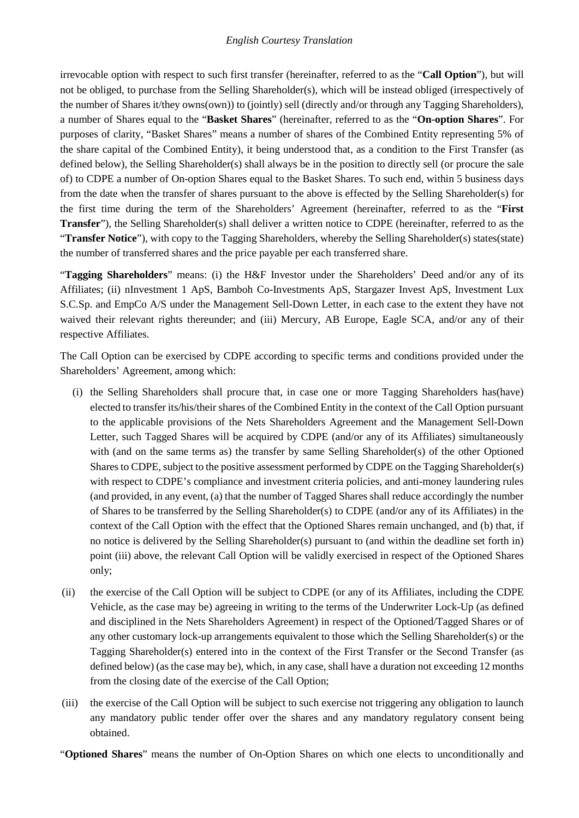irrevocable option with respect to such first transfer (hereinafter, referred to as the "**Call Option**"), but will not be obliged, to purchase from the Selling Shareholder(s), which will be instead obliged (irrespectively of the number of Shares it/they owns(own)) to (jointly) sell (directly and/or through any Tagging Shareholders), a number of Shares equal to the "**Basket Shares**" (hereinafter, referred to as the "**On-option Shares**". For purposes of clarity, "Basket Shares" means a number of shares of the Combined Entity representing 5% of the share capital of the Combined Entity), it being understood that, as a condition to the First Transfer (as defined below), the Selling Shareholder(s) shall always be in the position to directly sell (or procure the sale of) to CDPE a number of On-option Shares equal to the Basket Shares. To such end, within 5 business days from the date when the transfer of shares pursuant to the above is effected by the Selling Shareholder(s) for the first time during the term of the Shareholders' Agreement (hereinafter, referred to as the "**First Transfer**"), the Selling Shareholder(s) shall deliver a written notice to CDPE (hereinafter, referred to as the "**Transfer Notice**"), with copy to the Tagging Shareholders, whereby the Selling Shareholder(s) states(state) the number of transferred shares and the price payable per each transferred share.

"**Tagging Shareholders**" means: (i) the H&F Investor under the Shareholders' Deed and/or any of its Affiliates; (ii) nInvestment 1 ApS, Bamboh Co-Investments ApS, Stargazer Invest ApS, Investment Lux S.C.Sp. and EmpCo A/S under the Management Sell-Down Letter, in each case to the extent they have not waived their relevant rights thereunder; and (iii) Mercury, AB Europe, Eagle SCA, and/or any of their respective Affiliates.

The Call Option can be exercised by CDPE according to specific terms and conditions provided under the Shareholders' Agreement, among which:

- (i) the Selling Shareholders shall procure that, in case one or more Tagging Shareholders has(have) elected to transfer its/his/their shares of the Combined Entity in the context of the Call Option pursuant to the applicable provisions of the Nets Shareholders Agreement and the Management Sell-Down Letter, such Tagged Shares will be acquired by CDPE (and/or any of its Affiliates) simultaneously with (and on the same terms as) the transfer by same Selling Shareholder(s) of the other Optioned Shares to CDPE, subject to the positive assessment performed by CDPE on the Tagging Shareholder(s) with respect to CDPE's compliance and investment criteria policies, and anti-money laundering rules (and provided, in any event, (a) that the number of Tagged Shares shall reduce accordingly the number of Shares to be transferred by the Selling Shareholder(s) to CDPE (and/or any of its Affiliates) in the context of the Call Option with the effect that the Optioned Shares remain unchanged, and (b) that, if no notice is delivered by the Selling Shareholder(s) pursuant to (and within the deadline set forth in) point (iii) above, the relevant Call Option will be validly exercised in respect of the Optioned Shares only;
- (ii) the exercise of the Call Option will be subject to CDPE (or any of its Affiliates, including the CDPE Vehicle, as the case may be) agreeing in writing to the terms of the Underwriter Lock-Up (as defined and disciplined in the Nets Shareholders Agreement) in respect of the Optioned/Tagged Shares or of any other customary lock-up arrangements equivalent to those which the Selling Shareholder(s) or the Tagging Shareholder(s) entered into in the context of the First Transfer or the Second Transfer (as defined below) (as the case may be), which, in any case, shall have a duration not exceeding 12 months from the closing date of the exercise of the Call Option;
- (iii) the exercise of the Call Option will be subject to such exercise not triggering any obligation to launch any mandatory public tender offer over the shares and any mandatory regulatory consent being obtained.

"**Optioned Shares**" means the number of On-Option Shares on which one elects to unconditionally and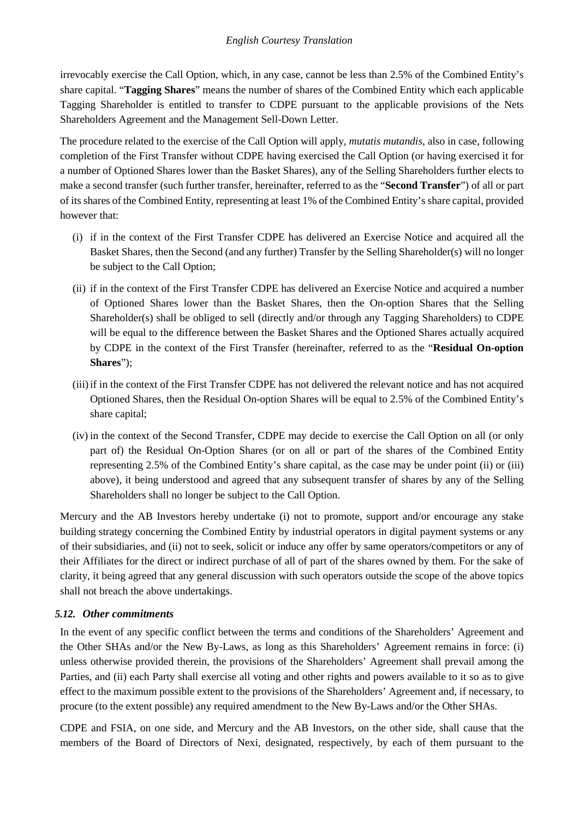irrevocably exercise the Call Option, which, in any case, cannot be less than 2.5% of the Combined Entity's share capital. "**Tagging Shares**" means the number of shares of the Combined Entity which each applicable Tagging Shareholder is entitled to transfer to CDPE pursuant to the applicable provisions of the Nets Shareholders Agreement and the Management Sell-Down Letter.

The procedure related to the exercise of the Call Option will apply, *mutatis mutandis*, also in case, following completion of the First Transfer without CDPE having exercised the Call Option (or having exercised it for a number of Optioned Shares lower than the Basket Shares), any of the Selling Shareholders further elects to make a second transfer (such further transfer, hereinafter, referred to as the "**Second Transfer**") of all or part of its shares of the Combined Entity, representing at least 1% of the Combined Entity's share capital, provided however that:

- (i) if in the context of the First Transfer CDPE has delivered an Exercise Notice and acquired all the Basket Shares, then the Second (and any further) Transfer by the Selling Shareholder(s) will no longer be subject to the Call Option;
- (ii) if in the context of the First Transfer CDPE has delivered an Exercise Notice and acquired a number of Optioned Shares lower than the Basket Shares, then the On-option Shares that the Selling Shareholder(s) shall be obliged to sell (directly and/or through any Tagging Shareholders) to CDPE will be equal to the difference between the Basket Shares and the Optioned Shares actually acquired by CDPE in the context of the First Transfer (hereinafter, referred to as the "**Residual On-option Shares**");
- (iii)if in the context of the First Transfer CDPE has not delivered the relevant notice and has not acquired Optioned Shares, then the Residual On-option Shares will be equal to 2.5% of the Combined Entity's share capital;
- (iv) in the context of the Second Transfer, CDPE may decide to exercise the Call Option on all (or only part of) the Residual On-Option Shares (or on all or part of the shares of the Combined Entity representing 2.5% of the Combined Entity's share capital, as the case may be under point (ii) or (iii) above), it being understood and agreed that any subsequent transfer of shares by any of the Selling Shareholders shall no longer be subject to the Call Option.

Mercury and the AB Investors hereby undertake (i) not to promote, support and/or encourage any stake building strategy concerning the Combined Entity by industrial operators in digital payment systems or any of their subsidiaries, and (ii) not to seek, solicit or induce any offer by same operators/competitors or any of their Affiliates for the direct or indirect purchase of all of part of the shares owned by them. For the sake of clarity, it being agreed that any general discussion with such operators outside the scope of the above topics shall not breach the above undertakings.

### *5.12. Other commitments*

In the event of any specific conflict between the terms and conditions of the Shareholders' Agreement and the Other SHAs and/or the New By-Laws, as long as this Shareholders' Agreement remains in force: (i) unless otherwise provided therein, the provisions of the Shareholders' Agreement shall prevail among the Parties, and (ii) each Party shall exercise all voting and other rights and powers available to it so as to give effect to the maximum possible extent to the provisions of the Shareholders' Agreement and, if necessary, to procure (to the extent possible) any required amendment to the New By-Laws and/or the Other SHAs.

CDPE and FSIA, on one side, and Mercury and the AB Investors, on the other side, shall cause that the members of the Board of Directors of Nexi, designated, respectively, by each of them pursuant to the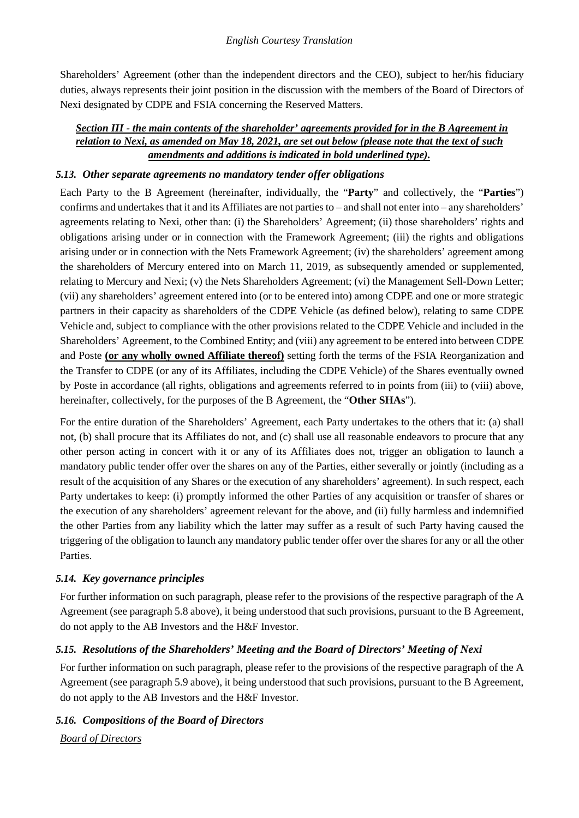Shareholders' Agreement (other than the independent directors and the CEO), subject to her/his fiduciary duties, always represents their joint position in the discussion with the members of the Board of Directors of Nexi designated by CDPE and FSIA concerning the Reserved Matters.

### *Section III - the main contents of the shareholder' agreements provided for in the B Agreement in relation to Nexi, as amended on May 18, 2021, are set out below (please note that the text of such amendments and additions is indicated in bold underlined type).*

### *5.13. Other separate agreements no mandatory tender offer obligations*

Each Party to the B Agreement (hereinafter, individually, the "**Party**" and collectively, the "**Parties**") confirms and undertakes that it and its Affiliates are not parties to – and shall not enter into – any shareholders' agreements relating to Nexi, other than: (i) the Shareholders' Agreement; (ii) those shareholders' rights and obligations arising under or in connection with the Framework Agreement; (iii) the rights and obligations arising under or in connection with the Nets Framework Agreement; (iv) the shareholders' agreement among the shareholders of Mercury entered into on March 11, 2019, as subsequently amended or supplemented, relating to Mercury and Nexi; (v) the Nets Shareholders Agreement; (vi) the Management Sell-Down Letter; (vii) any shareholders' agreement entered into (or to be entered into) among CDPE and one or more strategic partners in their capacity as shareholders of the CDPE Vehicle (as defined below), relating to same CDPE Vehicle and, subject to compliance with the other provisions related to the CDPE Vehicle and included in the Shareholders' Agreement, to the Combined Entity; and (viii) any agreement to be entered into between CDPE and Poste **(or any wholly owned Affiliate thereof)** setting forth the terms of the FSIA Reorganization and the Transfer to CDPE (or any of its Affiliates, including the CDPE Vehicle) of the Shares eventually owned by Poste in accordance (all rights, obligations and agreements referred to in points from (iii) to (viii) above, hereinafter, collectively, for the purposes of the B Agreement, the "**Other SHAs**").

For the entire duration of the Shareholders' Agreement, each Party undertakes to the others that it: (a) shall not, (b) shall procure that its Affiliates do not, and (c) shall use all reasonable endeavors to procure that any other person acting in concert with it or any of its Affiliates does not, trigger an obligation to launch a mandatory public tender offer over the shares on any of the Parties, either severally or jointly (including as a result of the acquisition of any Shares or the execution of any shareholders' agreement). In such respect, each Party undertakes to keep: (i) promptly informed the other Parties of any acquisition or transfer of shares or the execution of any shareholders' agreement relevant for the above, and (ii) fully harmless and indemnified the other Parties from any liability which the latter may suffer as a result of such Party having caused the triggering of the obligation to launch any mandatory public tender offer over the shares for any or all the other Parties.

### *5.14. Key governance principles*

For further information on such paragraph, please refer to the provisions of the respective paragraph of the A Agreement (see paragraph 5.8 above), it being understood that such provisions, pursuant to the B Agreement, do not apply to the AB Investors and the H&F Investor.

### *5.15. Resolutions of the Shareholders' Meeting and the Board of Directors' Meeting of Nexi*

For further information on such paragraph, please refer to the provisions of the respective paragraph of the A Agreement (see paragraph 5.9 above), it being understood that such provisions, pursuant to the B Agreement, do not apply to the AB Investors and the H&F Investor.

# *5.16. Compositions of the Board of Directors Board of Directors*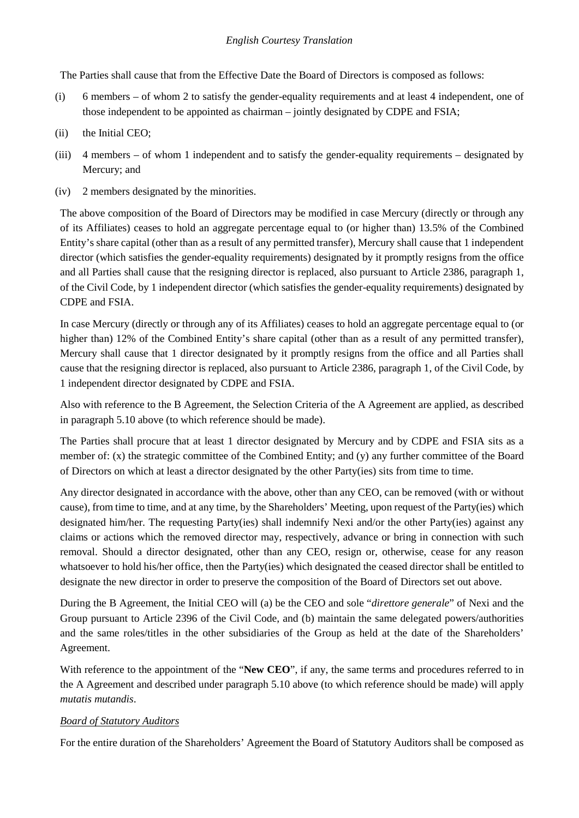The Parties shall cause that from the Effective Date the Board of Directors is composed as follows:

- (i) 6 members of whom 2 to satisfy the gender-equality requirements and at least 4 independent, one of those independent to be appointed as chairman – jointly designated by CDPE and FSIA;
- (ii) the Initial CEO;
- (iii) 4 members of whom 1 independent and to satisfy the gender-equality requirements designated by Mercury; and
- (iv) 2 members designated by the minorities.

The above composition of the Board of Directors may be modified in case Mercury (directly or through any of its Affiliates) ceases to hold an aggregate percentage equal to (or higher than) 13.5% of the Combined Entity's share capital (other than as a result of any permitted transfer), Mercury shall cause that 1 independent director (which satisfies the gender-equality requirements) designated by it promptly resigns from the office and all Parties shall cause that the resigning director is replaced, also pursuant to Article 2386, paragraph 1, of the Civil Code, by 1 independent director (which satisfies the gender-equality requirements) designated by CDPE and FSIA.

In case Mercury (directly or through any of its Affiliates) ceases to hold an aggregate percentage equal to (or higher than) 12% of the Combined Entity's share capital (other than as a result of any permitted transfer), Mercury shall cause that 1 director designated by it promptly resigns from the office and all Parties shall cause that the resigning director is replaced, also pursuant to Article 2386, paragraph 1, of the Civil Code, by 1 independent director designated by CDPE and FSIA.

Also with reference to the B Agreement, the Selection Criteria of the A Agreement are applied, as described in paragraph 5.10 above (to which reference should be made).

The Parties shall procure that at least 1 director designated by Mercury and by CDPE and FSIA sits as a member of: (x) the strategic committee of the Combined Entity; and (y) any further committee of the Board of Directors on which at least a director designated by the other Party(ies) sits from time to time.

Any director designated in accordance with the above, other than any CEO, can be removed (with or without cause), from time to time, and at any time, by the Shareholders' Meeting, upon request of the Party(ies) which designated him/her. The requesting Party(ies) shall indemnify Nexi and/or the other Party(ies) against any claims or actions which the removed director may, respectively, advance or bring in connection with such removal. Should a director designated, other than any CEO, resign or, otherwise, cease for any reason whatsoever to hold his/her office, then the Party(ies) which designated the ceased director shall be entitled to designate the new director in order to preserve the composition of the Board of Directors set out above.

During the B Agreement, the Initial CEO will (a) be the CEO and sole "*direttore generale*" of Nexi and the Group pursuant to Article 2396 of the Civil Code, and (b) maintain the same delegated powers/authorities and the same roles/titles in the other subsidiaries of the Group as held at the date of the Shareholders' Agreement.

With reference to the appointment of the "**New CEO**", if any, the same terms and procedures referred to in the A Agreement and described under paragraph 5.10 above (to which reference should be made) will apply *mutatis mutandis*.

### *Board of Statutory Auditors*

For the entire duration of the Shareholders' Agreement the Board of Statutory Auditors shall be composed as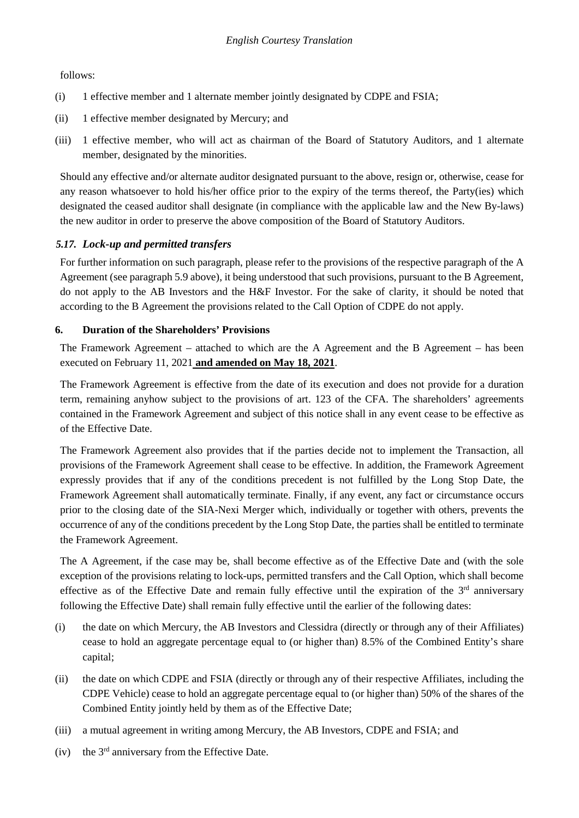#### follows:

- (i) 1 effective member and 1 alternate member jointly designated by CDPE and FSIA;
- (ii) 1 effective member designated by Mercury; and
- (iii) 1 effective member, who will act as chairman of the Board of Statutory Auditors, and 1 alternate member, designated by the minorities.

Should any effective and/or alternate auditor designated pursuant to the above, resign or, otherwise, cease for any reason whatsoever to hold his/her office prior to the expiry of the terms thereof, the Party(ies) which designated the ceased auditor shall designate (in compliance with the applicable law and the New By-laws) the new auditor in order to preserve the above composition of the Board of Statutory Auditors.

### *5.17. Lock-up and permitted transfers*

For further information on such paragraph, please refer to the provisions of the respective paragraph of the A Agreement (see paragraph 5.9 above), it being understood that such provisions, pursuant to the B Agreement, do not apply to the AB Investors and the H&F Investor. For the sake of clarity, it should be noted that according to the B Agreement the provisions related to the Call Option of CDPE do not apply.

### **6. Duration of the Shareholders' Provisions**

The Framework Agreement – attached to which are the A Agreement and the B Agreement – has been executed on February 11, 2021 **and amended on May 18, 2021**.

The Framework Agreement is effective from the date of its execution and does not provide for a duration term, remaining anyhow subject to the provisions of art. 123 of the CFA. The shareholders' agreements contained in the Framework Agreement and subject of this notice shall in any event cease to be effective as of the Effective Date.

The Framework Agreement also provides that if the parties decide not to implement the Transaction, all provisions of the Framework Agreement shall cease to be effective. In addition, the Framework Agreement expressly provides that if any of the conditions precedent is not fulfilled by the Long Stop Date, the Framework Agreement shall automatically terminate. Finally, if any event, any fact or circumstance occurs prior to the closing date of the SIA-Nexi Merger which, individually or together with others, prevents the occurrence of any of the conditions precedent by the Long Stop Date, the parties shall be entitled to terminate the Framework Agreement.

The A Agreement, if the case may be, shall become effective as of the Effective Date and (with the sole exception of the provisions relating to lock-ups, permitted transfers and the Call Option, which shall become effective as of the Effective Date and remain fully effective until the expiration of the  $3<sup>rd</sup>$  anniversary following the Effective Date) shall remain fully effective until the earlier of the following dates:

- (i) the date on which Mercury, the AB Investors and Clessidra (directly or through any of their Affiliates) cease to hold an aggregate percentage equal to (or higher than) 8.5% of the Combined Entity's share capital;
- (ii) the date on which CDPE and FSIA (directly or through any of their respective Affiliates, including the CDPE Vehicle) cease to hold an aggregate percentage equal to (or higher than) 50% of the shares of the Combined Entity jointly held by them as of the Effective Date:
- (iii) a mutual agreement in writing among Mercury, the AB Investors, CDPE and FSIA; and
- (iv) the  $3<sup>rd</sup>$  anniversary from the Effective Date.